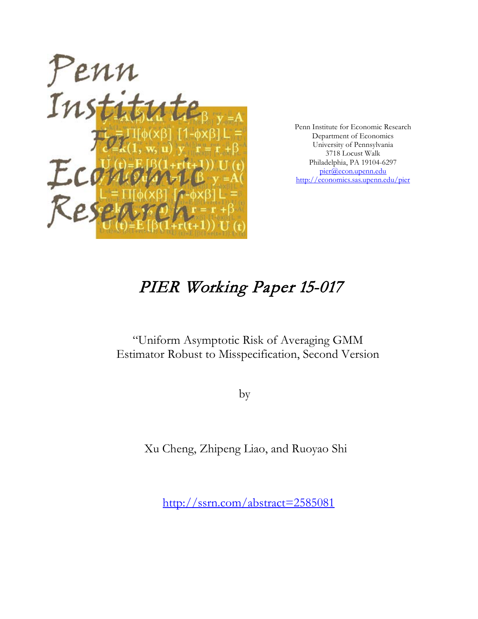

Penn Institute for Economic Research Department of Economics University of Pennsylvania 3718 Locust Walk Philadelphia, PA 19104-6297 [pier@econ.upenn.edu](mailto:pier@econ.upenn.edu) <http://economics.sas.upenn.edu/pier>

# PIER Working Paper 15-017

# "Uniform Asymptotic Risk of Averaging GMM Estimator Robust to Misspecification, Second Version

by

Xu Cheng, Zhipeng Liao, and Ruoyao Shi

[http://ssrn.com/abstract=2](http://ssrn.com/abstract_id=)585081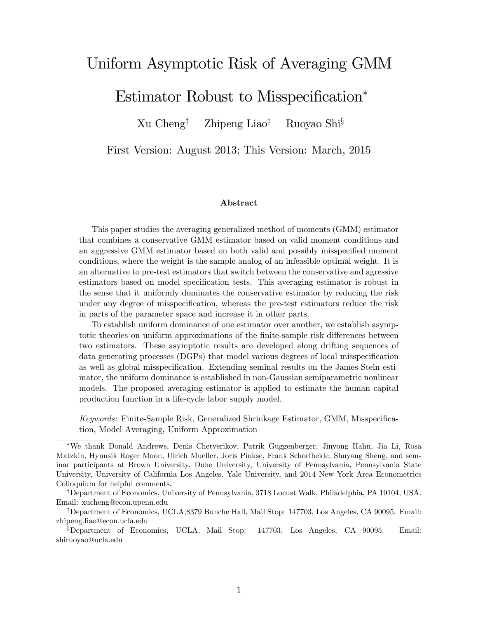# Uniform Asymptotic Risk of Averaging GMM

Estimator Robust to Misspecification\*

 $Xu$  Cheng<sup>†</sup> Zhipeng Liao<sup>‡</sup> Ruoyao Shi<sup>§</sup>

First Version: August 2013; This Version: March, 2015

#### Abstract

This paper studies the averaging generalized method of moments (GMM) estimator that combines a conservative GMM estimator based on valid moment conditions and an aggressive GMM estimator based on both valid and possibly misspecified moment conditions, where the weight is the sample analog of an infeasible optimal weight. It is an alternative to pre-test estimators that switch between the conservative and agressive estimators based on model specification tests. This averaging estimator is robust in the sense that it uniformly dominates the conservative estimator by reducing the risk under any degree of misspecification, whereas the pre-test estimators reduce the risk in parts of the parameter space and increase it in other parts.

To establish uniform dominance of one estimator over another, we establish asymptotic theories on uniform approximations of the finite-sample risk differences between two estimators. These asymptotic results are developed along drifting sequences of data generating processes (DGPs) that model various degrees of local misspecification as well as global misspecification. Extending seminal results on the James-Stein estimator, the uniform dominance is established in non-Gaussian semiparametric nonlinear models. The proposed averaging estimator is applied to estimate the human capital production function in a life-cycle labor supply model.

Keywords: Finite-Sample Risk, Generalized Shrinkage Estimator, GMM, Misspecification, Model Averaging, Uniform Approximation

We thank Donald Andrews, Denis Chetverikov, Patrik Guggenberger, Jinyong Hahn, Jia Li, Rosa Matzkin, Hyunsik Roger Moon, Ulrich Mueller, Joris Pinkse, Frank Schorfheide, Shuyang Sheng, and seminar participants at Brown University, Duke University, University of Pennsylvania, Pennsylvania State University, University of California Los Angeles, Yale University, and 2014 New York Area Econometrics Colloquium for helpful comments.

<sup>&</sup>lt;sup>†</sup>Department of Economics, University of Pennsylvania, 3718 Locust Walk, Philadelphia, PA 19104, USA. Email: xucheng@econ.upenn.edu

<sup>&</sup>lt;sup>‡</sup>Department of Economics, UCLA,8379 Bunche Hall, Mail Stop: 147703, Los Angeles, CA 90095. Email: zhipeng.liao@econ.ucla.edu

 $\S$ Department of Economics, UCLA, Mail Stop: 147703, Los Angeles, CA 90095. Email: shiruoyao@ucla.edu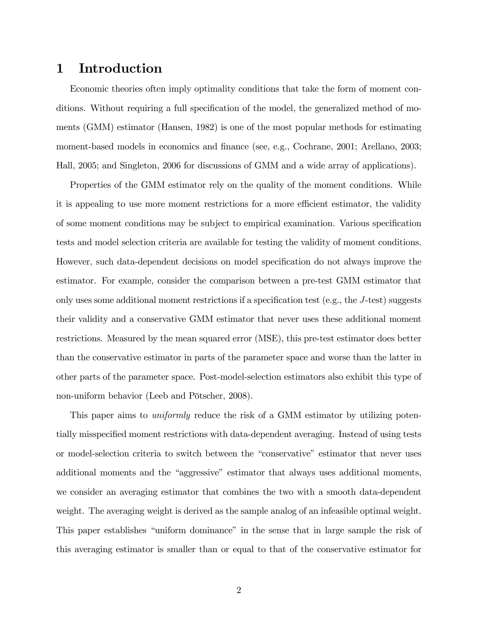### 1 Introduction

Economic theories often imply optimality conditions that take the form of moment conditions. Without requiring a full specification of the model, the generalized method of moments (GMM) estimator (Hansen, 1982) is one of the most popular methods for estimating moment-based models in economics and finance (see, e.g., Cochrane, 2001; Arellano, 2003; Hall, 2005; and Singleton, 2006 for discussions of GMM and a wide array of applications).

Properties of the GMM estimator rely on the quality of the moment conditions. While it is appealing to use more moment restrictions for a more efficient estimator, the validity of some moment conditions may be subject to empirical examination. Various specification tests and model selection criteria are available for testing the validity of moment conditions. However, such data-dependent decisions on model specification do not always improve the estimator. For example, consider the comparison between a pre-test GMM estimator that only uses some additional moment restrictions if a specification test (e.g., the  $J$ -test) suggests their validity and a conservative GMM estimator that never uses these additional moment restrictions. Measured by the mean squared error (MSE), this pre-test estimator does better than the conservative estimator in parts of the parameter space and worse than the latter in other parts of the parameter space. Post-model-selection estimators also exhibit this type of non-uniform behavior (Leeb and Pötscher, 2008).

This paper aims to *uniformly* reduce the risk of a GMM estimator by utilizing potentially misspecified moment restrictions with data-dependent averaging. Instead of using tests or model-selection criteria to switch between the "conservative" estimator that never uses additional moments and the "aggressive" estimator that always uses additional moments, we consider an averaging estimator that combines the two with a smooth data-dependent weight. The averaging weight is derived as the sample analog of an infeasible optimal weight. This paper establishes "uniform dominance" in the sense that in large sample the risk of this averaging estimator is smaller than or equal to that of the conservative estimator for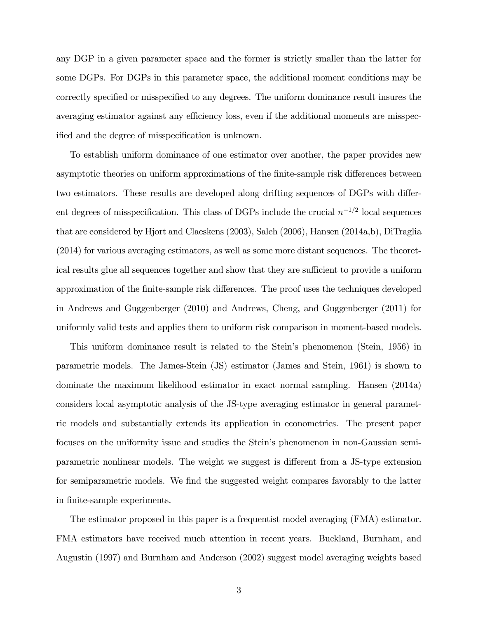any DGP in a given parameter space and the former is strictly smaller than the latter for some DGPs. For DGPs in this parameter space, the additional moment conditions may be correctly specified or misspecified to any degrees. The uniform dominance result insures the averaging estimator against any efficiency loss, even if the additional moments are misspecified and the degree of misspecification is unknown.

To establish uniform dominance of one estimator over another, the paper provides new asymptotic theories on uniform approximations of the finite-sample risk differences between two estimators. These results are developed along drifting sequences of DGPs with different degrees of misspecification. This class of DGPs include the crucial  $n^{-1/2}$  local sequences that are considered by Hjort and Claeskens (2003), Saleh (2006), Hansen (2014a,b), DiTraglia (2014) for various averaging estimators, as well as some more distant sequences. The theoretical results glue all sequences together and show that they are sufficient to provide a uniform approximation of the finite-sample risk differences. The proof uses the techniques developed in Andrews and Guggenberger (2010) and Andrews, Cheng, and Guggenberger (2011) for uniformly valid tests and applies them to uniform risk comparison in moment-based models.

This uniform dominance result is related to the Stein's phenomenon (Stein, 1956) in parametric models. The James-Stein (JS) estimator (James and Stein, 1961) is shown to dominate the maximum likelihood estimator in exact normal sampling. Hansen (2014a) considers local asymptotic analysis of the JS-type averaging estimator in general parametric models and substantially extends its application in econometrics. The present paper focuses on the uniformity issue and studies the Stein's phenomenon in non-Gaussian semiparametric nonlinear models. The weight we suggest is different from a JS-type extension for semiparametric models. We find the suggested weight compares favorably to the latter in finite-sample experiments.

The estimator proposed in this paper is a frequentist model averaging (FMA) estimator. FMA estimators have received much attention in recent years. Buckland, Burnham, and Augustin (1997) and Burnham and Anderson (2002) suggest model averaging weights based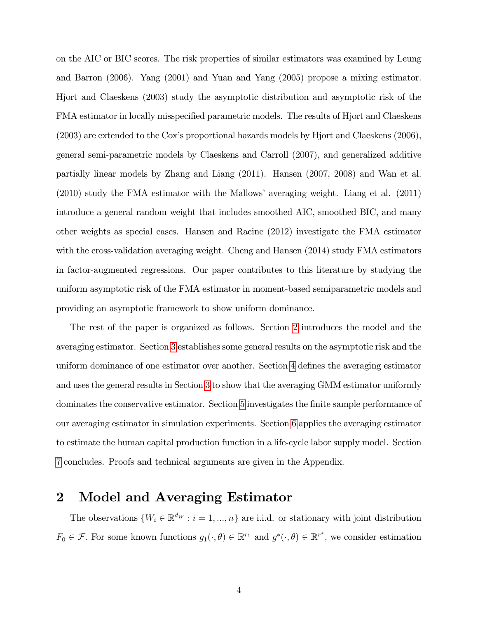on the AIC or BIC scores. The risk properties of similar estimators was examined by Leung and Barron (2006). Yang (2001) and Yuan and Yang (2005) propose a mixing estimator. Hjort and Claeskens (2003) study the asymptotic distribution and asymptotic risk of the FMA estimator in locally misspecified parametric models. The results of Hjort and Claeskens  $(2003)$  are extended to the Cox's proportional hazards models by Hjort and Claeskens  $(2006)$ , general semi-parametric models by Claeskens and Carroll (2007), and generalized additive partially linear models by Zhang and Liang (2011). Hansen (2007, 2008) and Wan et al.  $(2010)$  study the FMA estimator with the Mallows' averaging weight. Liang et al.  $(2011)$ introduce a general random weight that includes smoothed AIC, smoothed BIC, and many other weights as special cases. Hansen and Racine (2012) investigate the FMA estimator with the cross-validation averaging weight. Cheng and Hansen (2014) study FMA estimators in factor-augmented regressions. Our paper contributes to this literature by studying the uniform asymptotic risk of the FMA estimator in moment-based semiparametric models and providing an asymptotic framework to show uniform dominance.

The rest of the paper is organized as follows. Section [2](#page-4-0) introduces the model and the averaging estimator. Section [3](#page-7-0) establishes some general results on the asymptotic risk and the uniform dominance of one estimator over another. Section [4](#page-13-0) defines the averaging estimator and uses the general results in Section [3](#page-7-0) to show that the averaging GMM estimator uniformly dominates the conservative estimator. Section [5](#page-21-0) investigates the Önite sample performance of our averaging estimator in simulation experiments. Section [6](#page-23-0) applies the averaging estimator to estimate the human capital production function in a life-cycle labor supply model. Section [7](#page-26-0) concludes. Proofs and technical arguments are given in the Appendix.

### <span id="page-4-0"></span>2 Model and Averaging Estimator

The observations  $\{W_i \in \mathbb{R}^{d_W} : i = 1, ..., n\}$  are i.i.d. or stationary with joint distribution  $F_0 \in \mathcal{F}$ . For some known functions  $g_1(\cdot, \theta) \in \mathbb{R}^{r_1}$  and  $g^*(\cdot, \theta) \in \mathbb{R}^{r^*}$ , we consider estimation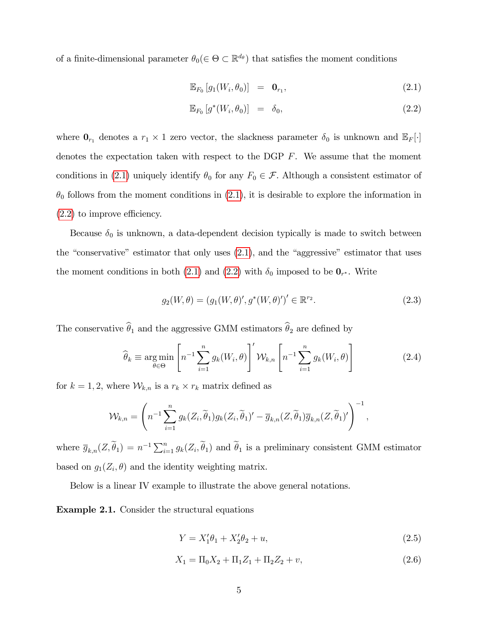of a finite-dimensional parameter  $\theta_0 \in \Theta \subset \mathbb{R}^{d_{\theta}}$  that satisfies the moment conditions

<span id="page-5-0"></span>
$$
\mathbb{E}_{F_0}\left[g_1(W_i,\theta_0)\right] = \mathbf{0}_{r_1},\tag{2.1}
$$

$$
\mathbb{E}_{F_0}\left[g^*(W_i, \theta_0)\right] = \delta_0,\tag{2.2}
$$

where  $\mathbf{0}_{r_1}$  denotes a  $r_1 \times 1$  zero vector, the slackness parameter  $\delta_0$  is unknown and  $\mathbb{E}_F[\cdot]$ denotes the expectation taken with respect to the DGP  $F$ . We assume that the moment conditions in [\(2.1\)](#page-5-0) uniquely identify  $\theta_0$  for any  $F_0 \in \mathcal{F}$ . Although a consistent estimator of  $\theta_0$  follows from the moment conditions in [\(2.1\)](#page-5-0), it is desirable to explore the information in  $(2.2)$  to improve efficiency.

Because  $\delta_0$  is unknown, a data-dependent decision typically is made to switch between the "conservative" estimator that only uses  $(2.1)$ , and the "aggressive" estimator that uses the moment conditions in both [\(2.1\)](#page-5-0) and [\(2.2\)](#page-5-0) with  $\delta_0$  imposed to be  $\mathbf{0}_{r^*}$ . Write

$$
g_2(W, \theta) = (g_1(W, \theta)', g^*(W, \theta)')' \in \mathbb{R}^{r_2}.
$$
 (2.3)

The conservative  $\widehat{\theta}_1$  and the aggressive GMM estimators  $\widehat{\theta}_2$  are defined by

<span id="page-5-2"></span>
$$
\widehat{\theta}_k \equiv \underset{\theta \in \Theta}{\arg \min} \left[ n^{-1} \sum_{i=1}^n g_k(W_i, \theta) \right]' \mathcal{W}_{k,n} \left[ n^{-1} \sum_{i=1}^n g_k(W_i, \theta) \right]
$$
(2.4)

for  $k = 1, 2$ , where  $W_{k,n}$  is a  $r_k \times r_k$  matrix defined as

$$
\mathcal{W}_{k,n} = \left( n^{-1} \sum_{i=1}^{n} g_k(Z_i, \widetilde{\theta}_1) g_k(Z_i, \widetilde{\theta}_1)' - \overline{g}_{k,n}(Z, \widetilde{\theta}_1) \overline{g}_{k,n}(Z, \widetilde{\theta}_1)' \right)^{-1}
$$

where  $\overline{g}_{k,n}(Z,\widetilde{\theta}_1) = n^{-1} \sum_{i=1}^n g_k(Z_i,\widetilde{\theta}_1)$  and  $\widetilde{\theta}_1$  is a preliminary consistent GMM estimator based on  $g_1(Z_i, \theta)$  and the identity weighting matrix.

Below is a linear IV example to illustrate the above general notations.

Example 2.1. Consider the structural equations

$$
Y = X_1' \theta_1 + X_2' \theta_2 + u,\tag{2.5}
$$

<span id="page-5-1"></span>;

$$
X_1 = \Pi_0 X_2 + \Pi_1 Z_1 + \Pi_2 Z_2 + v,\tag{2.6}
$$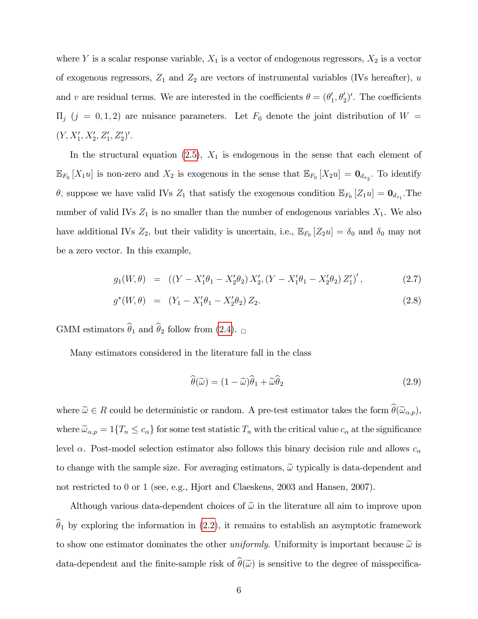where Y is a scalar response variable,  $X_1$  is a vector of endogenous regressors,  $X_2$  is a vector of exogenous regressors,  $Z_1$  and  $Z_2$  are vectors of instrumental variables (IVs hereafter), u and v are residual terms. We are interested in the coefficients  $\theta = (\theta'_1, \theta'_2)'$ . The coefficients  $\Pi_j$  (j = 0, 1, 2) are nuisance parameters. Let  $F_0$  denote the joint distribution of  $W =$  $(Y, X'_1, X'_2, Z'_1, Z'_2)'.$ 

In the structural equation  $(2.5)$ ,  $X_1$  is endogenous in the sense that each element of  $\mathbb{E}_{F_0}[X_1u]$  is non-zero and  $X_2$  is exogenous in the sense that  $\mathbb{E}_{F_0}[X_2u] = \mathbf{0}_{d_{x_2}}$ . To identify  $\theta$ , suppose we have valid IVs  $Z_1$  that satisfy the exogenous condition  $\mathbb{E}_{F_0}[Z_1u] = \mathbf{0}_{d_{z_1}}$ . The number of valid IVs  $Z_1$  is no smaller than the number of endogenous variables  $X_1$ . We also have additional IVs  $Z_2$ , but their validity is uncertain, i.e.,  $\mathbb{E}_{F_0}[Z_2u] = \delta_0$  and  $\delta_0$  may not be a zero vector. In this example,

$$
g_1(W, \theta) = ((Y - X_1'\theta_1 - X_2'\theta_2)X_2', (Y - X_1'\theta_1 - X_2'\theta_2)Z_1')',
$$
\n(2.7)

$$
g^*(W, \theta) = (Y_1 - X_1' \theta_1 - X_2' \theta_2) Z_2.
$$
 (2.8)

GMM estimators  $\hat{\theta}_1$  and  $\hat{\theta}_2$  follow from [\(2.4\)](#page-5-2).

Many estimators considered in the literature fall in the class

$$
\widehat{\theta}(\widetilde{\omega}) = (1 - \widetilde{\omega})\widehat{\theta}_1 + \widetilde{\omega}\widehat{\theta}_2 \tag{2.9}
$$

where  $\tilde{\omega} \in R$  could be deterministic or random. A pre-test estimator takes the form  $\theta(\tilde{\omega}_{\alpha,p}),$ where  $\tilde{\omega}_{\alpha,p} = 1\{T_n \leq c_\alpha\}$  for some test statistic  $T_n$  with the critical value  $c_\alpha$  at the significance level  $\alpha$ . Post-model selection estimator also follows this binary decision rule and allows  $c_{\alpha}$ to change with the sample size. For averaging estimators,  $\tilde{\omega}$  typically is data-dependent and not restricted to 0 or 1 (see, e.g., Hjort and Claeskens, 2003 and Hansen, 2007).

Although various data-dependent choices of  $\tilde{\omega}$  in the literature all aim to improve upon  $\hat{\theta}_1$  by exploring the information in [\(2.2\)](#page-5-0), it remains to establish an asymptotic framework to show one estimator dominates the other *uniformly*. Uniformity is important because  $\tilde{\omega}$  is data-dependent and the finite-sample risk of  $\widehat{\theta}(\widetilde{\omega})$  is sensitive to the degree of misspecifica-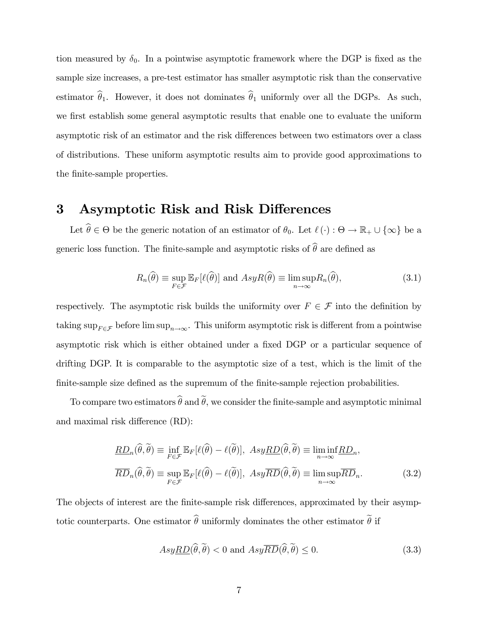tion measured by  $\delta_0$ . In a pointwise asymptotic framework where the DGP is fixed as the sample size increases, a pre-test estimator has smaller asymptotic risk than the conservative estimator  $\hat{\theta}_1$ . However, it does not dominates  $\hat{\theta}_1$  uniformly over all the DGPs. As such, we first establish some general asymptotic results that enable one to evaluate the uniform asymptotic risk of an estimator and the risk differences between two estimators over a class of distributions. These uniform asymptotic results aim to provide good approximations to the finite-sample properties.

# <span id="page-7-0"></span>3 Asymptotic Risk and Risk Differences

Let  $\theta \in \Theta$  be the generic notation of an estimator of  $\theta_0$ . Let  $\ell(\cdot) : \Theta \to \mathbb{R}_+ \cup \{\infty\}$  be a generic loss function. The finite-sample and asymptotic risks of  $\widehat{\theta}$  are defined as

<span id="page-7-1"></span>
$$
R_n(\widehat{\theta}) \equiv \sup_{F \in \mathcal{F}} \mathbb{E}_F[\ell(\widehat{\theta})] \text{ and } AsyR(\widehat{\theta}) \equiv \limsup_{n \to \infty} R_n(\widehat{\theta}), \tag{3.1}
$$

respectively. The asymptotic risk builds the uniformity over  $F \in \mathcal{F}$  into the definition by taking  $\sup_{F \in \mathcal{F}} \phi$  before lim  $\sup_{n \to \infty}$ . This uniform asymptotic risk is different from a pointwise asymptotic risk which is either obtained under a fixed DGP or a particular sequence of drifting DGP. It is comparable to the asymptotic size of a test, which is the limit of the finite-sample size defined as the supremum of the finite-sample rejection probabilities.

To compare two estimators  $\widehat{\theta}$  and  $\widetilde{\theta}$ , we consider the finite-sample and asymptotic minimal and maximal risk difference (RD):

$$
\underline{RD}_n(\widehat{\theta}, \widetilde{\theta}) \equiv \inf_{F \in \mathcal{F}} \mathbb{E}_F[\ell(\widehat{\theta}) - \ell(\widetilde{\theta})], \quad Asy\underline{RD}(\widehat{\theta}, \widetilde{\theta}) \equiv \liminf_{n \to \infty} \underline{RD}_n,
$$
\n
$$
\overline{RD}_n(\widehat{\theta}, \widetilde{\theta}) \equiv \sup_{F \in \mathcal{F}} \mathbb{E}_F[\ell(\widehat{\theta}) - \ell(\widetilde{\theta})], \quad Asy\overline{RD}(\widehat{\theta}, \widetilde{\theta}) \equiv \limsup_{n \to \infty} \overline{RD}_n.
$$
\n(3.2)

The objects of interest are the finite-sample risk differences, approximated by their asymptotic counterparts. One estimator  $\widehat{\theta}$  uniformly dominates the other estimator  $\widetilde{\theta}$  if

<span id="page-7-3"></span><span id="page-7-2"></span>
$$
Asy\underline{RD}(\widehat{\theta}, \widehat{\theta}) < 0 \text{ and } Asy\overline{RD}(\widehat{\theta}, \widehat{\theta}) \le 0. \tag{3.3}
$$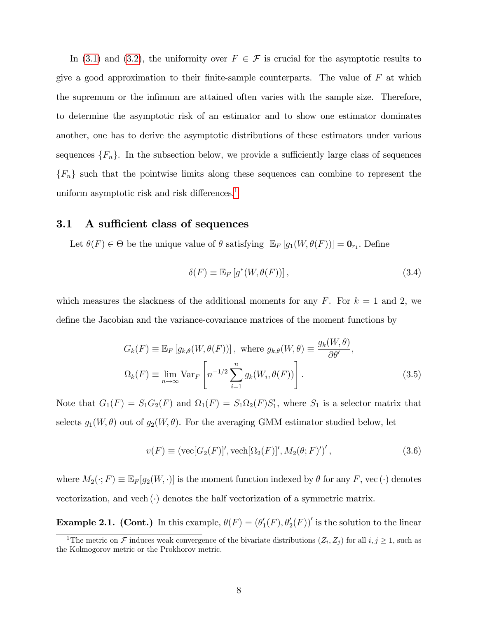In [\(3.1\)](#page-7-1) and [\(3.2\)](#page-7-2), the uniformity over  $F \in \mathcal{F}$  is crucial for the asymptotic results to give a good approximation to their finite-sample counterparts. The value of  $F$  at which the supremum or the infimum are attained often varies with the sample size. Therefore, to determine the asymptotic risk of an estimator and to show one estimator dominates another, one has to derive the asymptotic distributions of these estimators under various sequences  ${F_n}$ . In the subsection below, we provide a sufficiently large class of sequences  ${F_n}$  such that the pointwise limits along these sequences can combine to represent the uniform asymptotic risk and risk differences.<sup>[1](#page-8-0)</sup>

### 3.1 A sufficient class of sequences

Let  $\theta(F) \in \Theta$  be the unique value of  $\theta$  satisfying  $\mathbb{E}_F [g_1(W, \theta(F))] = \mathbf{0}_{r_1}$ . Define

$$
\delta(F) \equiv \mathbb{E}_F \left[ g^*(W, \theta(F)) \right],\tag{3.4}
$$

which measures the slackness of the additional moments for any F. For  $k = 1$  and 2, we define the Jacobian and the variance-covariance matrices of the moment functions by

$$
G_k(F) \equiv \mathbb{E}_F \left[ g_{k,\theta}(W,\theta(F)) \right], \text{ where } g_{k,\theta}(W,\theta) \equiv \frac{g_k(W,\theta)}{\partial \theta'},
$$
  

$$
\Omega_k(F) \equiv \lim_{n \to \infty} \text{Var}_F \left[ n^{-1/2} \sum_{i=1}^n g_k(W_i,\theta(F)) \right].
$$
 (3.5)

Note that  $G_1(F) = S_1 G_2(F)$  and  $\Omega_1(F) = S_1 \Omega_2(F) S_1'$ , where  $S_1$  is a selector matrix that selects  $g_1(W, \theta)$  out of  $g_2(W, \theta)$ . For the averaging GMM estimator studied below, let

$$
v(F) \equiv (\text{vec}[G_2(F)]', \text{vech}[\Omega_2(F)]', M_2(\theta; F)')',
$$
\n(3.6)

where  $M_2(\cdot; F) \equiv \mathbb{E}_F[g_2(W, \cdot)]$  is the moment function indexed by  $\theta$  for any F, vec ( $\cdot$ ) denotes vectorization, and vech  $(\cdot)$  denotes the half vectorization of a symmetric matrix.

**Example 2.1.** (Cont.) In this example,  $\theta(F) = (\theta'_{1}(F), \theta'_{2}(F))'$  is the solution to the linear

<span id="page-8-0"></span><sup>&</sup>lt;sup>1</sup>The metric on  $\mathcal F$  induces weak convergence of the bivariate distributions  $(Z_i, Z_j)$  for all  $i, j \ge 1$ , such as the Kolmogorov metric or the Prokhorov metric.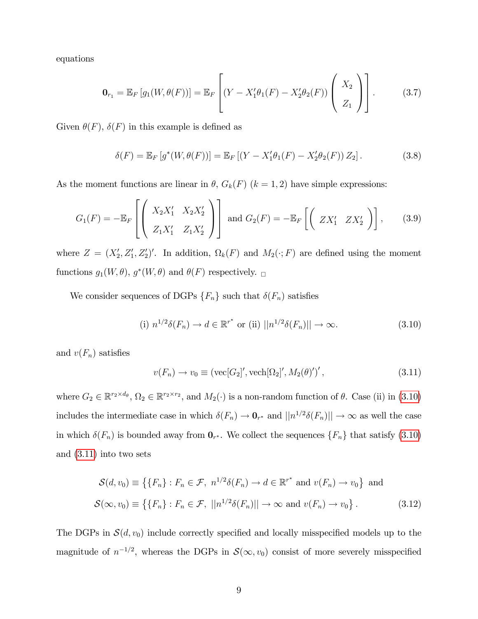equations

$$
\mathbf{0}_{r_1} = \mathbb{E}_F \left[ g_1(W, \theta(F)) \right] = \mathbb{E}_F \left[ (Y - X_1' \theta_1(F) - X_2' \theta_2(F)) \begin{pmatrix} X_2 \\ Z_1 \end{pmatrix} \right].
$$
 (3.7)

Given  $\theta(F)$ ,  $\delta(F)$  in this example is defined as

$$
\delta(F) = \mathbb{E}_F \left[ g^*(W, \theta(F)) \right] = \mathbb{E}_F \left[ (Y - X_1' \theta_1(F) - X_2' \theta_2(F)) Z_2 \right]. \tag{3.8}
$$

As the moment functions are linear in  $\theta$ ,  $G_k(F)$  ( $k = 1, 2$ ) have simple expressions:

$$
G_1(F) = -\mathbb{E}_F \left[ \left( \begin{array}{cc} X_2 X_1' & X_2 X_2' \\ Z_1 X_1' & Z_1 X_2' \end{array} \right) \right] \text{ and } G_2(F) = -\mathbb{E}_F \left[ \left( \begin{array}{cc} Z X_1' & Z X_2' \end{array} \right) \right], \quad (3.9)
$$

where  $Z = (X'_2, Z'_1, Z'_2)'$ . In addition,  $\Omega_k(F)$  and  $M_2(\cdot; F)$  are defined using the moment functions  $g_1(W, \theta)$ ,  $g^*(W, \theta)$  and  $\theta(F)$  respectively.  $\Box$ 

We consider sequences of DGPs  $\{F_n\}$  such that  $\delta(F_n)$  satisfies

<span id="page-9-0"></span>(i) 
$$
n^{1/2}\delta(F_n) \to d \in \mathbb{R}^{r^*}
$$
 or (ii)  $||n^{1/2}\delta(F_n)|| \to \infty$ . (3.10)

and  $v(F_n)$  satisfies

<span id="page-9-2"></span><span id="page-9-1"></span>
$$
v(F_n) \to v_0 \equiv (\text{vec}[G_2]', \text{vech}[\Omega_2]', M_2(\theta)')', \qquad (3.11)
$$

where  $G_2 \in \mathbb{R}^{r_2 \times d_\theta}$ ,  $\Omega_2 \in \mathbb{R}^{r_2 \times r_2}$ , and  $M_2(\cdot)$  is a non-random function of  $\theta$ . Case (ii) in [\(3.10\)](#page-9-0) includes the intermediate case in which  $\delta(F_n) \to \mathbf{0}_{r^*}$  and  $||n^{1/2}\delta(F_n)|| \to \infty$  as well the case in which  $\delta(F_n)$  is bounded away from  $\mathbf{0}_{r^*}$ . We collect the sequences  $\{F_n\}$  that satisfy  $(3.10)$ and [\(3.11\)](#page-9-1) into two sets

$$
\mathcal{S}(d, v_0) \equiv \left\{ \{F_n\} : F_n \in \mathcal{F}, \ n^{1/2} \delta(F_n) \to d \in \mathbb{R}^{r^*} \text{ and } v(F_n) \to v_0 \right\} \text{ and}
$$

$$
\mathcal{S}(\infty, v_0) \equiv \left\{ \{F_n\} : F_n \in \mathcal{F}, \ ||n^{1/2} \delta(F_n)|| \to \infty \text{ and } v(F_n) \to v_0 \right\}.
$$
 (3.12)

The DGPs in  $\mathcal{S}(d, v_0)$  include correctly specified and locally misspecified models up to the magnitude of  $n^{-1/2}$ , whereas the DGPs in  $\mathcal{S}(\infty, v_0)$  consist of more severely misspecified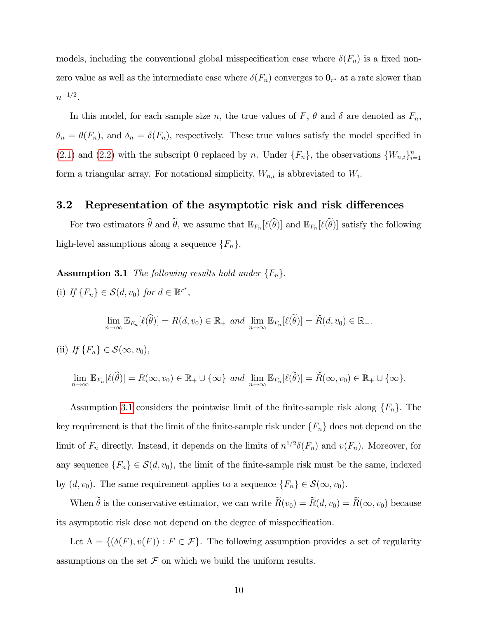models, including the conventional global misspecification case where  $\delta(F_n)$  is a fixed nonzero value as well as the intermediate case where  $\delta(F_n)$  converges to  $\mathbf{0}_{r^*}$  at a rate slower than  $n^{-1/2}.$ 

In this model, for each sample size n, the true values of F,  $\theta$  and  $\delta$  are denoted as  $F_n$ ,  $\theta_n = \theta(F_n)$ , and  $\delta_n = \delta(F_n)$ , respectively. These true values satisfy the model specified in [\(2.1\)](#page-5-0) and [\(2.2\)](#page-5-0) with the subscript 0 replaced by n. Under  $\{F_n\}$ , the observations  $\{W_{n,i}\}_{i=1}^n$ form a triangular array. For notational simplicity,  $W_{n,i}$  is abbreviated to  $W_i$ .

### 3.2 Representation of the asymptotic risk and risk differences

For two estimators  $\theta$  and  $\theta$ , we assume that  $\mathbb{E}_{F_n}[\ell(\theta)]$  and  $\mathbb{E}_{F_n}[\ell(\theta)]$  satisfy the following high-level assumptions along a sequence  $\{F_n\}.$ 

<span id="page-10-0"></span>**Assumption 3.1** The following results hold under  $\{F_n\}$ .

(i) If  $\{F_n\} \in S(d, v_0)$  for  $d \in \mathbb{R}^{r^*}$ ,

$$
\lim_{n\to\infty} \mathbb{E}_{F_n}[\ell(\widehat{\theta})] = R(d, v_0) \in \mathbb{R}_+ \text{ and } \lim_{n\to\infty} \mathbb{E}_{F_n}[\ell(\widetilde{\theta})] = \widetilde{R}(d, v_0) \in \mathbb{R}_+.
$$

(ii) If 
$$
\{F_n\} \in \mathcal{S}(\infty, v_0)
$$
,

$$
\lim_{n\to\infty}\mathbb{E}_{F_n}[\ell(\widehat{\theta})]=R(\infty,v_0)\in\mathbb{R}_+\cup\{\infty\}\ and\ \lim_{n\to\infty}\mathbb{E}_{F_n}[\ell(\widetilde{\theta})]=\widetilde{R}(\infty,v_0)\in\mathbb{R}_+\cup\{\infty\}.
$$

Assumption [3.1](#page-10-0) considers the pointwise limit of the finite-sample risk along  $\{F_n\}$ . The key requirement is that the limit of the finite-sample risk under  $\{F_n\}$  does not depend on the limit of  $F_n$  directly. Instead, it depends on the limits of  $n^{1/2}\delta(F_n)$  and  $v(F_n)$ . Moreover, for any sequence  $\{F_n\} \in \mathcal{S}(d, v_0)$ , the limit of the finite-sample risk must be the same, indexed by  $(d, v_0)$ . The same requirement applies to a sequence  $\{F_n\} \in \mathcal{S}(\infty, v_0)$ .

When  $\widetilde{\theta}$  is the conservative estimator, we can write  $\widetilde{R}(v_0) = \widetilde{R}(d, v_0) = \widetilde{R}(\infty, v_0)$  because its asymptotic risk dose not depend on the degree of misspecification.

<span id="page-10-1"></span>Let  $\Lambda = \{(\delta(F), v(F)) : F \in \mathcal{F}\}\.$  The following assumption provides a set of regularity assumptions on the set  $\mathcal F$  on which we build the uniform results.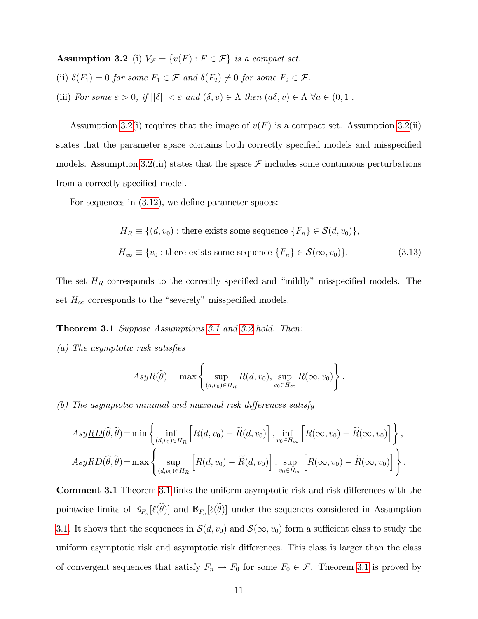Assumption 3.2 (i)  $V_{\mathcal{F}} = \{v(F) : F \in \mathcal{F}\}\$ is a compact set.

- (ii)  $\delta(F_1) = 0$  for some  $F_1 \in \mathcal{F}$  and  $\delta(F_2) \neq 0$  for some  $F_2 \in \mathcal{F}$ .
- (iii) For some  $\varepsilon > 0$ , if  $||\delta|| < \varepsilon$  and  $(\delta, v) \in \Lambda$  then  $(a\delta, v) \in \Lambda \ \forall a \in (0, 1]$ .

Assumption [3.2\(](#page-10-1)i) requires that the image of  $v(F)$  is a compact set. Assumption 3.2(ii) states that the parameter space contains both correctly specified models and misspecified models. Assumption [3.2\(](#page-10-1)iii) states that the space  $\mathcal F$  includes some continuous perturbations from a correctly specified model.

For sequences in  $(3.12)$ , we define parameter spaces:

$$
H_R \equiv \{(d, v_0) : \text{there exists some sequence } \{F_n\} \in \mathcal{S}(d, v_0)\},
$$
  

$$
H_{\infty} \equiv \{v_0 : \text{there exists some sequence } \{F_n\} \in \mathcal{S}(\infty, v_0)\}. \tag{3.13}
$$

The set  $H_R$  corresponds to the correctly specified and "mildly" misspecified models. The set  $H_\infty$  corresponds to the "severely" misspecified models.

- <span id="page-11-0"></span>Theorem [3.1](#page-10-0) Suppose Assumptions 3.1 and [3.2](#page-10-1) hold. Then:
- $(a)$  The asymptotic risk satisfies

$$
AsyR(\widehat{\theta}) = \max \left\{ \sup_{(d,v_0)\in H_R} R(d,v_0), \sup_{v_0\in H_{\infty}} R(\infty, v_0) \right\}.
$$

 $(b)$  The asymptotic minimal and maximal risk differences satisfy

$$
Asy\underline{RD}(\widehat{\theta},\widetilde{\theta}) = \min\left\{ \inf_{(d,v_0)\in H_R} \left[ R(d,v_0) - \widetilde{R}(d,v_0) \right], \inf_{v_0\in H_{\infty}} \left[ R(\infty,v_0) - \widetilde{R}(\infty,v_0) \right] \right\},
$$
  
\n
$$
Asy\overline{RD}(\widehat{\theta},\widetilde{\theta}) = \max\left\{ \sup_{(d,v_0)\in H_R} \left[ R(d,v_0) - \widetilde{R}(d,v_0) \right], \sup_{v_0\in H_{\infty}} \left[ R(\infty,v_0) - \widetilde{R}(\infty,v_0) \right] \right\}.
$$

**Comment [3.1](#page-11-0)** Theorem 3.1 links the uniform asymptotic risk and risk differences with the pointwise limits of  $\mathbb{E}_{F_n}[\ell(\theta)]$  and  $\mathbb{E}_{F_n}[\ell(\theta)]$  under the sequences considered in Assumption [3.1.](#page-10-0) It shows that the sequences in  $\mathcal{S}(d, v_0)$  and  $\mathcal{S}(\infty, v_0)$  form a sufficient class to study the uniform asymptotic risk and asymptotic risk differences. This class is larger than the class of convergent sequences that satisfy  $F_n \to F_0$  for some  $F_0 \in \mathcal{F}$ . Theorem [3.1](#page-11-0) is proved by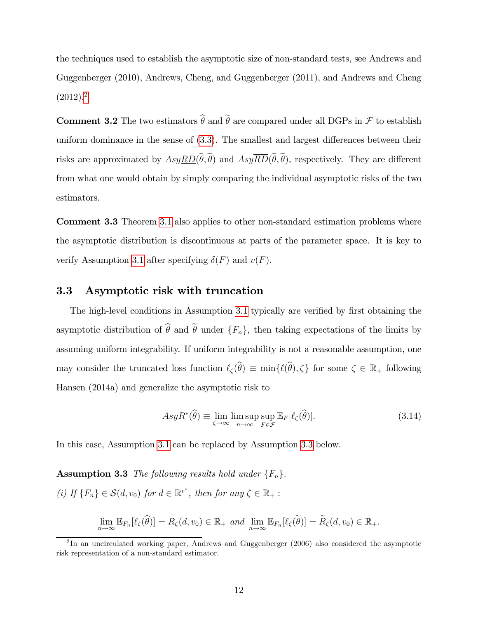the techniques used to establish the asymptotic size of non-standard tests, see Andrews and Guggenberger (2010), Andrews, Cheng, and Guggenberger (2011), and Andrews and Cheng  $(2012).<sup>2</sup>$  $(2012).<sup>2</sup>$  $(2012).<sup>2</sup>$ 

**Comment 3.2** The two estimators  $\hat{\theta}$  and  $\tilde{\theta}$  are compared under all DGPs in F to establish uniform dominance in the sense of  $(3.3)$ . The smallest and largest differences between their risks are approximated by  $AsyRD(\hat{\theta},\tilde{\theta})$  and  $Asy\overline{RD}(\hat{\theta},\tilde{\theta})$ , respectively. They are different from what one would obtain by simply comparing the individual asymptotic risks of the two estimators.

Comment 3.3 Theorem [3.1](#page-11-0) also applies to other non-standard estimation problems where the asymptotic distribution is discontinuous at parts of the parameter space. It is key to verify Assumption [3.1](#page-10-0) after specifying  $\delta(F)$  and  $v(F)$ .

#### 3.3 Asymptotic risk with truncation

The high-level conditions in Assumption [3.1](#page-10-0) typically are verified by first obtaining the asymptotic distribution of  $\hat{\theta}$  and  $\tilde{\theta}$  under  $\{F_n\}$ , then taking expectations of the limits by assuming uniform integrability. If uniform integrability is not a reasonable assumption, one may consider the truncated loss function  $\ell_{\zeta}(\widehat{\theta}) \equiv \min{\{\ell(\widehat{\theta}), \zeta\}}$  for some  $\zeta \in \mathbb{R}_+$  following Hansen (2014a) and generalize the asymptotic risk to

$$
AsyR^*(\widehat{\theta}) \equiv \lim_{\zeta \to \infty} \limsup_{n \to \infty} \sup_{F \in \mathcal{F}} \mathbb{E}_F[\ell_{\zeta}(\widehat{\theta})]. \tag{3.14}
$$

<span id="page-12-1"></span>In this case, Assumption [3.1](#page-10-0) can be replaced by Assumption [3.3](#page-12-1) below.

**Assumption 3.3** The following results hold under  $\{F_n\}$ . (i) If  $\{F_n\} \in \mathcal{S}(d, v_0)$  for  $d \in \mathbb{R}^{r^*}$ , then for any  $\zeta \in \mathbb{R}_+$ :

$$
\lim_{n \to \infty} \mathbb{E}_{F_n}[\ell_{\zeta}(\widehat{\theta})] = R_{\zeta}(d, v_0) \in \mathbb{R}_+ \text{ and } \lim_{n \to \infty} \mathbb{E}_{F_n}[\ell_{\zeta}(\widetilde{\theta})] = \widetilde{R}_{\zeta}(d, v_0) \in \mathbb{R}_+.
$$

<span id="page-12-0"></span><sup>&</sup>lt;sup>2</sup>In an uncirculated working paper, Andrews and Guggenberger (2006) also considered the asymptotic risk representation of a non-standard estimator.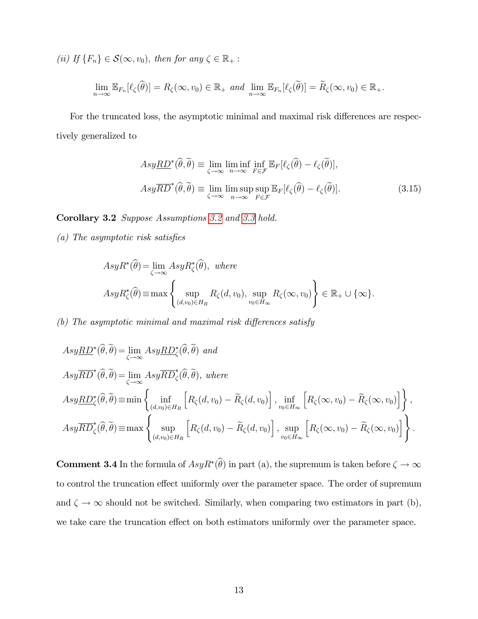(ii) If  $\{F_n\} \in \mathcal{S}(\infty, v_0)$ , then for any  $\zeta \in \mathbb{R}_+$ :

$$
\lim_{n\to\infty}\mathbb{E}_{F_n}[\ell_{\zeta}(\widehat{\theta})]=R_{\zeta}(\infty,v_0)\in\mathbb{R}_+\text{ and }\lim_{n\to\infty}\mathbb{E}_{F_n}[\ell_{\zeta}(\widetilde{\theta})]=\widetilde{R}_{\zeta}(\infty,v_0)\in\mathbb{R}_+.
$$

For the truncated loss, the asymptotic minimal and maximal risk differences are respectively generalized to

$$
Asy\underline{RD}^*(\widehat{\theta},\widetilde{\theta}) \equiv \lim_{\zeta \to \infty} \liminf_{n \to \infty} \inf_{F \in \mathcal{F}} \mathbb{E}_F[\ell_{\zeta}(\widehat{\theta}) - \ell_{\zeta}(\widetilde{\theta})],
$$
  
\n
$$
Asy\overline{RD}^*(\widehat{\theta},\widetilde{\theta}) \equiv \lim_{\zeta \to \infty} \limsup_{n \to \infty} \sup_{F \in \mathcal{F}} \mathbb{E}_F[\ell_{\zeta}(\widehat{\theta}) - \ell_{\zeta}(\widetilde{\theta})].
$$
\n(3.15)

<span id="page-13-1"></span>Corollary 3.2 Suppose Assumptions [3.2](#page-10-1) and [3.3](#page-12-1) hold.

 $(a)$  The asymptotic risk satisfies

$$
AsyR^*(\widehat{\theta}) = \lim_{\zeta \to \infty} AsyR^*_{\zeta}(\widehat{\theta}), \text{ where}
$$
  
\n
$$
AsyR^*_{\zeta}(\widehat{\theta}) \equiv \max \left\{ \sup_{(d,v_0) \in H_R} R_{\zeta}(d,v_0), \sup_{v_0 \in H_{\infty}} R_{\zeta}(\infty, v_0) \right\} \in \mathbb{R}_+ \cup \{\infty\}.
$$

 $(b)$  The asymptotic minimal and maximal risk differences satisfy

$$
Asy\n\underline{RD}^*(\widehat{\theta},\widetilde{\theta}) = \lim_{\zeta \to \infty} Asy\n\underline{RD}^*(\widehat{\theta},\widetilde{\theta}) \text{ and}
$$
\n
$$
Asy\n\underline{RD}^*(\widehat{\theta},\widetilde{\theta}) = \lim_{\zeta \to \infty} Asy\n\underline{RD}^*(\widehat{\theta},\widetilde{\theta}), \text{ where}
$$
\n
$$
Asy\n\underline{RD}^*(\widehat{\theta},\widetilde{\theta}) \equiv \min \left\{ \inf_{(d,v_0)\in H_R} \left[ R_{\zeta}(d,v_0) - \widetilde{R}_{\zeta}(d,v_0) \right], \inf_{v_0\in H_{\infty}} \left[ R_{\zeta}(\infty,v_0) - \widetilde{R}_{\zeta}(\infty,v_0) \right] \right\},
$$
\n
$$
Asy\n\underline{RD}^*(\widehat{\theta},\widetilde{\theta}) \equiv \max \left\{ \sup_{(d,v_0)\in H_R} \left[ R_{\zeta}(d,v_0) - \widetilde{R}_{\zeta}(d,v_0) \right], \sup_{v_0\in H_{\infty}} \left[ R_{\zeta}(\infty,v_0) - \widetilde{R}_{\zeta}(\infty,v_0) \right] \right\}.
$$

<span id="page-13-0"></span>**Comment 3.4** In the formula of  $AsyR^*(\theta)$  in part (a), the supremum is taken before  $\zeta \to \infty$ to control the truncation effect uniformly over the parameter space. The order of supremum and  $\zeta \to \infty$  should not be switched. Similarly, when comparing two estimators in part (b), we take care the truncation effect on both estimators uniformly over the parameter space.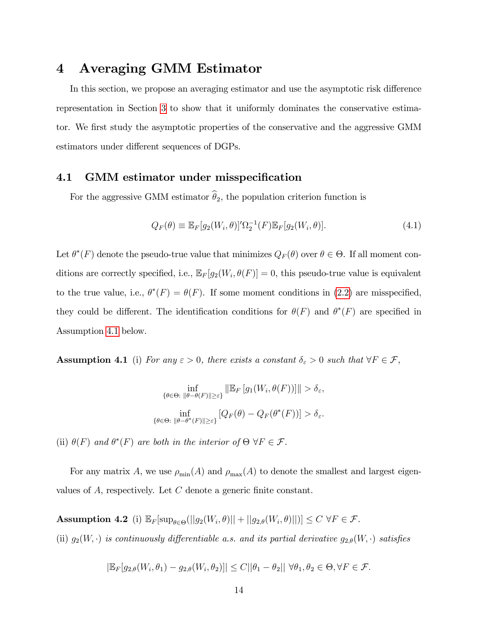# 4 Averaging GMM Estimator

In this section, we propose an averaging estimator and use the asymptotic risk difference representation in Section [3](#page-7-0) to show that it uniformly dominates the conservative estimator. We first study the asymptotic properties of the conservative and the aggressive GMM estimators under different sequences of DGPs.

### 4.1 GMM estimator under misspecification

For the aggressive GMM estimator  $\hat{\theta}_2$ , the population criterion function is

$$
Q_F(\theta) \equiv \mathbb{E}_F[g_2(W_i, \theta)]' \Omega_2^{-1}(F) \mathbb{E}_F[g_2(W_i, \theta)]. \tag{4.1}
$$

Let  $\theta^*(F)$  denote the pseudo-true value that minimizes  $Q_F(\theta)$  over  $\theta \in \Theta$ . If all moment conditions are correctly specified, i.e.,  $\mathbb{E}_F[g_2(W_i, \theta(F)] = 0$ , this pseudo-true value is equivalent to the true value, i.e.,  $\theta^*(F) = \theta(F)$ . If some moment conditions in [\(2.2\)](#page-5-0) are misspecified, they could be different. The identification conditions for  $\theta(F)$  and  $\theta^*(F)$  are specified in Assumption [4.1](#page-14-0) below.

<span id="page-14-0"></span>**Assumption 4.1** (i) For any  $\varepsilon > 0$ , there exists a constant  $\delta_{\varepsilon} > 0$  such that  $\forall F \in \mathcal{F}$ ,

$$
\inf_{\{\theta \in \Theta: \ \|\theta - \theta(F)\| \ge \varepsilon\}} \|\mathbb{E}_F \left[ g_1(W_i, \theta(F)) \right]\| > \delta_{\varepsilon},
$$
\n
$$
\inf_{\{\theta \in \Theta: \ \|\theta - \theta^*(F)\| \ge \varepsilon\}} \left[ Q_F(\theta) - Q_F(\theta^*(F)) \right] > \delta_{\varepsilon}.
$$

(ii)  $\theta(F)$  and  $\theta^*(F)$  are both in the interior of  $\Theta \forall F \in \mathcal{F}$ .

For any matrix A, we use  $\rho_{\min}(A)$  and  $\rho_{\max}(A)$  to denote the smallest and largest eigenvalues of  $A$ , respectively. Let  $C$  denote a generic finite constant.

<span id="page-14-1"></span> $\textbf{Assumption 4.2 (i)} \ \mathbb{E}_{F}[\sup_{\theta \in \Theta} (||g_2(W_i, \theta)|| + ||g_{2, \theta}(W_i, \theta)||)] \leq C \ \forall F \in \mathcal{F}.$ (ii)  $g_2(W, \cdot)$  is continuously differentiable a.s. and its partial derivative  $g_{2,\theta}(W, \cdot)$  satisfies

$$
|\mathbb{E}_F[g_{2,\theta}(W_i,\theta_1)-g_{2,\theta}(W_i,\theta_2)]| \leq C||\theta_1-\theta_2||\ \forall \theta_1,\theta_2 \in \Theta, \forall F \in \mathcal{F}.
$$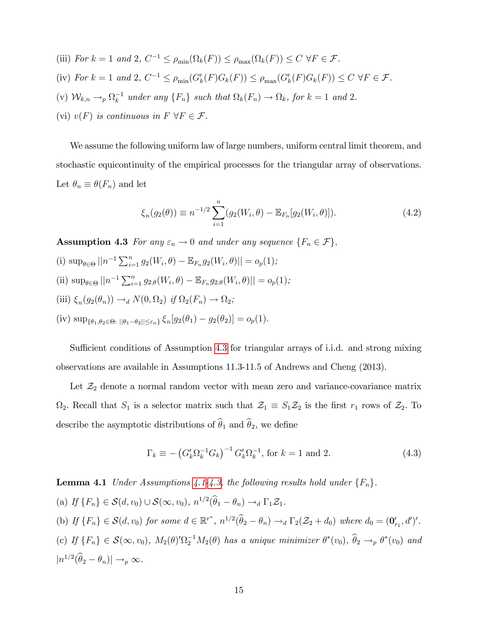(iii) For  $k = 1$  and 2,  $C^{-1} \le \rho_{\min}(\Omega_k(F)) \le \rho_{\max}(\Omega_k(F)) \le C \ \forall F \in \mathcal{F}$ . (iv) For  $k = 1$  and 2,  $C^{-1} \leq \rho_{\min}(G'_{k}(F)G_{k}(F)) \leq \rho_{\max}(G'_{k}(F)G_{k}(F)) \leq C \ \forall F \in \mathcal{F}$ . (v)  $W_{k,n} \to_p \Omega_k^{-1}$  under any  $\{F_n\}$  such that  $\Omega_k(F_n) \to \Omega_k$ , for  $k = 1$  and 2. (vi)  $v(F)$  is continuous in  $F \forall F \in \mathcal{F}$ .

We assume the following uniform law of large numbers, uniform central limit theorem, and stochastic equicontinuity of the empirical processes for the triangular array of observations. Let  $\theta_n \equiv \theta(F_n)$  and let

$$
\xi_n(g_2(\theta)) \equiv n^{-1/2} \sum_{i=1}^n (g_2(W_i, \theta) - \mathbb{E}_{F_n}[g_2(W_i, \theta)]). \tag{4.2}
$$

<span id="page-15-0"></span>**Assumption 4.3** For any  $\varepsilon_n \to 0$  and under any sequence  $\{F_n \in \mathcal{F}\},\$ 

- (i)  $\sup_{\theta \in \Theta} ||n^{-1} \sum_{i=1}^n g_2(W_i, \theta) \mathbb{E}_{F_n} g_2(W_i, \theta)|| = o_p(1);$
- (ii)  $\sup_{\theta \in \Theta} ||n^{-1} \sum_{i=1}^{n} g_{2,\theta}(W_i, \theta) \mathbb{E}_{F_n} g_{2,\theta}(W_i, \theta)|| = o_p(1);$
- (iii)  $\xi_n(g_2(\theta_n)) \to_d N(0, \Omega_2)$  if  $\Omega_2(F_n) \to \Omega_2$ ;
- (iv)  $\sup_{\{\theta_1,\theta_2\in\Theta: \|\theta_1-\theta_2\|\leq \varepsilon_n\}} \xi_n[g_2(\theta_1)-g_2(\theta_2)] = o_p(1).$

Sufficient conditions of Assumption [4.3](#page-15-0) for triangular arrays of i.i.d. and strong mixing observations are available in Assumptions 11.3-11.5 of Andrews and Cheng (2013).

Let  $\mathcal{Z}_2$  denote a normal random vector with mean zero and variance-covariance matrix  $\Omega_2$ . Recall that  $S_1$  is a selector matrix such that  $\mathcal{Z}_1 \equiv S_1 \mathcal{Z}_2$  is the first  $r_1$  rows of  $\mathcal{Z}_2$ . To describe the asymptotic distributions of  $\widehat{\theta}_1$  and  $\widehat{\theta}_2$ , we define

$$
\Gamma_k \equiv -\left(G'_k \Omega_k^{-1} G_k\right)^{-1} G'_k \Omega_k^{-1}, \text{ for } k = 1 \text{ and } 2. \tag{4.3}
$$

<span id="page-15-1"></span>**Lemma [4.1](#page-14-0)** Under Assumptions 4.1[-4.3,](#page-15-0) the following results hold under  $\{F_n\}$ .

(a) If  $\{F_n\} \in \mathcal{S}(d, v_0) \cup \mathcal{S}(\infty, v_0), n^{1/2}(\hat{\theta}_1 - \theta_n) \rightarrow_d \Gamma_1 \mathcal{Z}_1.$ 

- (b) If  $\{F_n\} \in \mathcal{S}(d, v_0)$  for some  $d \in \mathbb{R}^{r^*}$ ,  $n^{1/2}(\hat{\theta}_2 \theta_n) \rightarrow_d \Gamma_2(\mathcal{Z}_2 + d_0)$  where  $d_0 = (\mathbf{0}'_{r_1}, d')'$ .
- (c) If  $\{F_n\} \in \mathcal{S}(\infty, v_0)$ ,  $M_2(\theta) \cap T_2^{-1}M_2(\theta)$  has a unique minimizer  $\theta^*(v_0)$ ,  $\hat{\theta}_2 \to_p \theta^*(v_0)$  and  $|n^{1/2}(\hat{\theta}_2-\theta_n)| \to_p \infty.$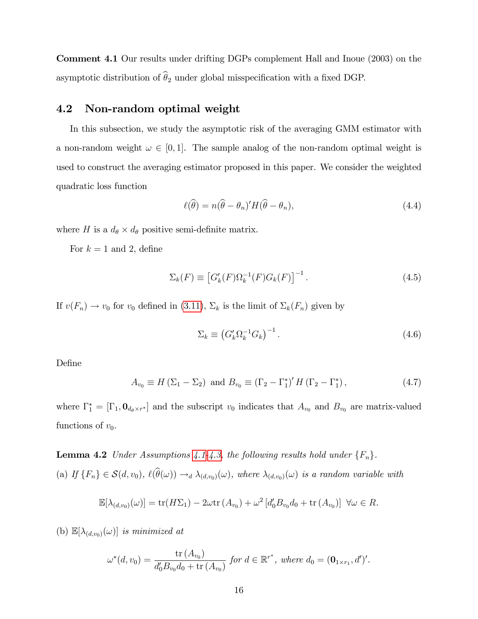Comment 4.1 Our results under drifting DGPs complement Hall and Inoue (2003) on the asymptotic distribution of  $\widehat\theta_2$  under global misspecification with a fixed DGP.

### 4.2 Non-random optimal weight

In this subsection, we study the asymptotic risk of the averaging GMM estimator with a non-random weight  $\omega \in [0, 1]$ . The sample analog of the non-random optimal weight is used to construct the averaging estimator proposed in this paper. We consider the weighted quadratic loss function

$$
\ell(\widehat{\theta}) = n(\widehat{\theta} - \theta_n)' H(\widehat{\theta} - \theta_n), \qquad (4.4)
$$

where H is a  $d_{\theta} \times d_{\theta}$  positive semi-definite matrix.

For  $k = 1$  and 2, define

$$
\Sigma_k(F) \equiv \left[ G'_k(F) \Omega_k^{-1}(F) G_k(F) \right]^{-1} . \tag{4.5}
$$

If  $v(F_n) \to v_0$  for  $v_0$  defined in [\(3.11\)](#page-9-1),  $\Sigma_k$  is the limit of  $\Sigma_k(F_n)$  given by

$$
\Sigma_k \equiv \left( G'_k \Omega_k^{-1} G_k \right)^{-1} . \tag{4.6}
$$

Define

<span id="page-16-1"></span>
$$
A_{v_0} \equiv H\left(\Sigma_1 - \Sigma_2\right) \text{ and } B_{v_0} \equiv \left(\Gamma_2 - \Gamma_1^*\right)' H\left(\Gamma_2 - \Gamma_1^*\right),\tag{4.7}
$$

where  $\Gamma_1^* = [\Gamma_1, \mathbf{0}_{d_\theta \times r^*}]$  and the subscript  $v_0$  indicates that  $A_{v_0}$  and  $B_{v_0}$  are matrix-valued functions of  $v_0$ .

<span id="page-16-0"></span>**Lemma 4.2** Under Assumptions [4.1](#page-14-0)[-4.3,](#page-15-0) the following results hold under  $\{F_n\}$ . (a) If  $\{F_n\} \in \mathcal{S}(d, v_0)$ ,  $\ell(\widehat{\theta}(\omega)) \to_d \lambda_{(d, v_0)}(\omega)$ , where  $\lambda_{(d, v_0)}(\omega)$  is a random variable with

$$
\mathbb{E}[\lambda_{(d,v_0)}(\omega)] = \text{tr}(H\Sigma_1) - 2\omega \text{tr}(A_{v_0}) + \omega^2 \left[ d'_0 B_{v_0} d_0 + \text{tr}(A_{v_0}) \right] \ \forall \omega \in R.
$$

(b)  $\mathbb{E}[\lambda_{(d,v_0)}(\omega)]$  is minimized at

$$
\omega^*(d, v_0) = \frac{\text{tr}(A_{v_0})}{d'_0 B_{v_0} d_0 + \text{tr}(A_{v_0})} \text{ for } d \in \mathbb{R}^{r^*}, \text{ where } d_0 = (\mathbf{0}_{1 \times r_1}, d')'.
$$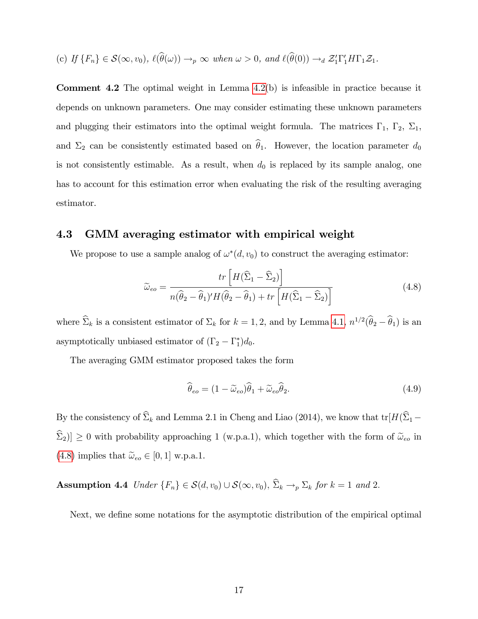(c) If 
$$
\{F_n\} \in \mathcal{S}(\infty, v_0)
$$
,  $\ell(\widehat{\theta}(\omega)) \to_p \infty$  when  $\omega > 0$ , and  $\ell(\widehat{\theta}(0)) \to_d \mathcal{Z}_1'\Gamma_1'H\Gamma_1\mathcal{Z}_1$ .

Comment 4.2 The optimal weight in Lemma [4.2\(](#page-16-0)b) is infeasible in practice because it depends on unknown parameters. One may consider estimating these unknown parameters and plugging their estimators into the optimal weight formula. The matrices  $\Gamma_1$ ,  $\Gamma_2$ ,  $\Sigma_1$ , and  $\Sigma_2$  can be consistently estimated based on  $\hat{\theta}_1$ . However, the location parameter  $d_0$ is not consistently estimable. As a result, when  $d_0$  is replaced by its sample analog, one has to account for this estimation error when evaluating the risk of the resulting averaging estimator.

#### 4.3 GMM averaging estimator with empirical weight

We propose to use a sample analog of  $\omega^*(d, v_0)$  to construct the averaging estimator:

<span id="page-17-0"></span>
$$
\widetilde{\omega}_{eo} = \frac{tr\left[H(\widehat{\Sigma}_1 - \widehat{\Sigma}_2)\right]}{n(\widehat{\theta}_2 - \widehat{\theta}_1)'H(\widehat{\theta}_2 - \widehat{\theta}_1) + tr\left[H(\widehat{\Sigma}_1 - \widehat{\Sigma}_2)\right]}
$$
(4.8)

where  $\hat{\Sigma}_k$  is a consistent estimator of  $\Sigma_k$  for  $k = 1, 2$ , and by Lemma [4.1,](#page-15-1)  $n^{1/2}(\hat{\theta}_2 - \hat{\theta}_1)$  is an asymptotically unbiased estimator of  $(\Gamma_2 - \Gamma_1^*)d_0$ .

The averaging GMM estimator proposed takes the form

<span id="page-17-2"></span>
$$
\widehat{\theta}_{eo} = (1 - \widetilde{\omega}_{eo})\widehat{\theta}_1 + \widetilde{\omega}_{eo}\widehat{\theta}_2.
$$
\n(4.9)

By the consistency of  $\widehat{\Sigma}_k$  and Lemma 2.1 in Cheng and Liao (2014), we know that  $tr[H(\widehat{\Sigma}_1 \widehat{\Sigma}_2$ ]  $\geq 0$  with probability approaching 1 (w.p.a.1), which together with the form of  $\widetilde{\omega}_{eo}$  in [\(4.8\)](#page-17-0) implies that  $\tilde{\omega}_{eo} \in [0, 1]$  w.p.a.1.

<span id="page-17-1"></span>**Assumption 4.4** Under  $\{F_n\} \in \mathcal{S}(d, v_0) \cup \mathcal{S}(\infty, v_0), \hat{\Sigma}_k \to_p \Sigma_k$  for  $k = 1$  and 2.

Next, we define some notations for the asymptotic distribution of the empirical optimal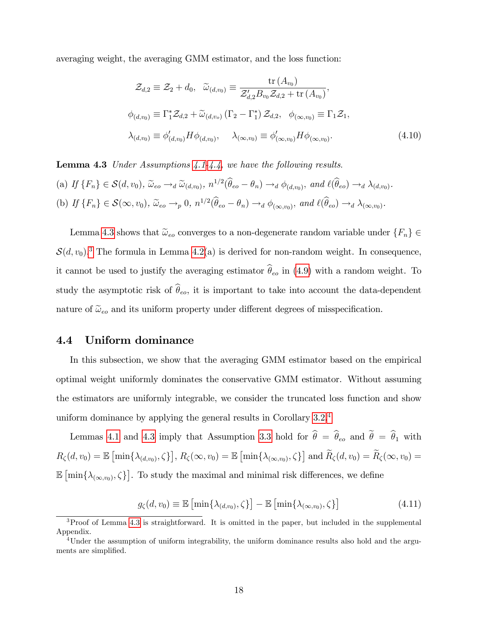averaging weight, the averaging GMM estimator, and the loss function:

<span id="page-18-3"></span>
$$
\mathcal{Z}_{d,2} \equiv \mathcal{Z}_2 + d_0, \quad \widetilde{\omega}_{(d,v_0)} \equiv \frac{\text{tr}(A_{v_0})}{\mathcal{Z}_{d,2}'B_{v_0}\mathcal{Z}_{d,2} + \text{tr}(A_{v_0})},
$$
\n
$$
\phi_{(d,v_0)} \equiv \Gamma_1^*\mathcal{Z}_{d,2} + \widetilde{\omega}_{(d,v_0)}(\Gamma_2 - \Gamma_1^*)\mathcal{Z}_{d,2}, \quad \phi_{(\infty,v_0)} \equiv \Gamma_1\mathcal{Z}_1,
$$
\n
$$
\lambda_{(d,v_0)} \equiv \phi'_{(d,v_0)}H\phi_{(d,v_0)}, \quad \lambda_{(\infty,v_0)} \equiv \phi'_{(\infty,v_0)}H\phi_{(\infty,v_0)}.
$$
\n(4.10)

<span id="page-18-0"></span>**Lemma 4.3** Under Assumptions  $4.1-4.4$ , we have the following results.

(a) If 
$$
\{F_n\} \in \mathcal{S}(d, v_0)
$$
,  $\tilde{\omega}_{eo} \to_d \tilde{\omega}_{(d, v_0)}$ ,  $n^{1/2}(\hat{\theta}_{eo} - \theta_n) \to_d \phi_{(d, v_0)}$ , and  $\ell(\hat{\theta}_{eo}) \to_d \lambda_{(d, v_0)}$ .  
\n(b) If  $\{F_n\} \in \mathcal{S}(\infty, v_0)$ ,  $\tilde{\omega}_{eo} \to_p 0$ ,  $n^{1/2}(\hat{\theta}_{eo} - \theta_n) \to_d \phi_{(\infty, v_0)}$ , and  $\ell(\hat{\theta}_{eo}) \to_d \lambda_{(\infty, v_0)}$ .

Lemma [4.3](#page-18-0) shows that  $\tilde{\omega}_{eo}$  converges to a non-degenerate random variable under  $\{F_n\} \in$  $\mathcal{S}(d, v_0)$ .<sup>[3](#page-18-1)</sup> The formula in Lemma [4.2\(](#page-16-0)a) is derived for non-random weight. In consequence, it cannot be used to justify the averaging estimator  $\hat{\theta}_{eo}$  in [\(4.9\)](#page-17-2) with a random weight. To study the asymptotic risk of  $\widehat{\theta}_{eo}$ , it is important to take into account the data-dependent nature of  $\tilde{\omega}_{eo}$  and its uniform property under different degrees of misspecification.

### 4.4 Uniform dominance

In this subsection, we show that the averaging GMM estimator based on the empirical optimal weight uniformly dominates the conservative GMM estimator. Without assuming the estimators are uniformly integrable, we consider the truncated loss function and show uniform dominance by applying the general results in Corollary [3.2.](#page-13-1)[4](#page-18-2)

Lemmas [4.1](#page-15-1) and [4.3](#page-18-0) imply that Assumption [3.3](#page-12-1) hold for  $\hat{\theta} = \hat{\theta}_{eo}$  and  $\hat{\theta} = \hat{\theta}_1$  with  $R_{\zeta}(d, v_0) = \mathbb{E} \left[ \min \{ \lambda_{(d, v_0)}, \zeta \} \right], R_{\zeta}(\infty, v_0) = \mathbb{E} \left[ \min \{ \lambda_{(\infty, v_0)}, \zeta \} \right]$  and  $\widetilde{R}_{\zeta}(d, v_0) = \widetilde{R}_{\zeta}(\infty, v_0) =$  $\mathbb{E} \left[ \min \{ \lambda_{(\infty,v_0)}, \zeta \} \right]$ . To study the maximal and minimal risk differences, we define

$$
g_{\zeta}(d, v_0) \equiv \mathbb{E}\left[\min\{\lambda_{(d, v_0)}, \zeta\}\right] - \mathbb{E}\left[\min\{\lambda_{(\infty, v_0)}, \zeta\}\right] \tag{4.11}
$$

<span id="page-18-1"></span><sup>&</sup>lt;sup>3</sup>Proof of Lemma [4.3](#page-18-0) is straightforward. It is omitted in the paper, but included in the supplemental Appendix.

<span id="page-18-2"></span><sup>&</sup>lt;sup>4</sup>Under the assumption of uniform integrability, the uniform dominance results also hold and the arguments are simplified.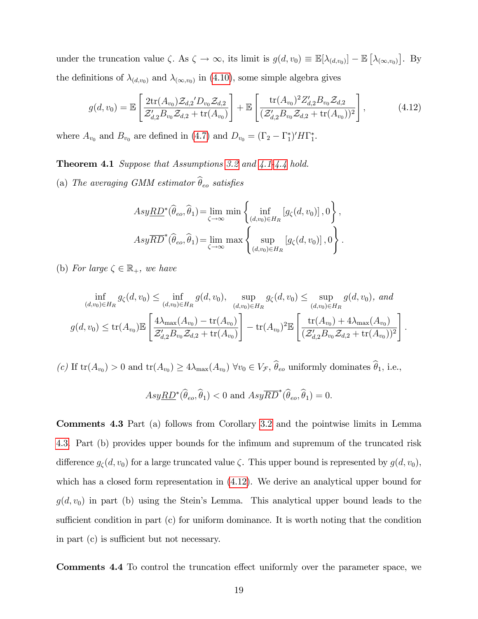under the truncation value  $\zeta$ . As  $\zeta \to \infty$ , its limit is  $g(d, v_0) \equiv \mathbb{E}[\lambda_{(d, v_0)}] - \mathbb{E}[\lambda_{(\infty, v_0)}]$ . By the definitions of  $\lambda_{(d,v_0)}$  and  $\lambda_{(\infty,v_0)}$  in [\(4.10\)](#page-18-3), some simple algebra gives

<span id="page-19-0"></span>
$$
g(d, v_0) = \mathbb{E}\left[\frac{2\text{tr}(A_{v_0})\mathcal{Z}_{d,2}D_{v_0}\mathcal{Z}_{d,2}}{\mathcal{Z}_{d,2}B_{v_0}\mathcal{Z}_{d,2} + \text{tr}(A_{v_0})}\right] + \mathbb{E}\left[\frac{\text{tr}(A_{v_0})^2Z'_{d,2}B_{v_0}\mathcal{Z}_{d,2}}{(\mathcal{Z}_{d,2}^{\prime}B_{v_0}\mathcal{Z}_{d,2} + \text{tr}(A_{v_0}))^2}\right],
$$
(4.12)

<span id="page-19-1"></span>where  $A_{v_0}$  and  $B_{v_0}$  are defined in [\(4.7\)](#page-16-1) and  $D_{v_0} = (\Gamma_2 - \Gamma_1^*)' H \Gamma_1^*$ .

Theorem 4.1 Suppose that Assumptions [3.2](#page-10-1) and [4.1](#page-14-0)[-4.4](#page-17-1) hold.

(a) The averaging GMM estimator  $\hat{\theta}_{eo}$  satisfies

$$
Asy\underline{RD}^*(\widehat{\theta}_{eo}, \widehat{\theta}_1) = \lim_{\zeta \to \infty} \min \left\{ \inf_{(d,v_0) \in H_R} \left[ g_{\zeta}(d, v_0) \right], 0 \right\},
$$
  
\n
$$
Asy\overline{RD}^*(\widehat{\theta}_{eo}, \widehat{\theta}_1) = \lim_{\zeta \to \infty} \max \left\{ \sup_{(d,v_0) \in H_R} \left[ g_{\zeta}(d, v_0) \right], 0 \right\}.
$$

(b) For large  $\zeta \in \mathbb{R}_+$ , we have

$$
\inf_{(d,v_0)\in H_R} g_{\zeta}(d,v_0) \le \inf_{(d,v_0)\in H_R} g(d,v_0), \quad \sup_{(d,v_0)\in H_R} g_{\zeta}(d,v_0) \le \sup_{(d,v_0)\in H_R} g(d,v_0), \text{ and}
$$
\n
$$
g(d,v_0) \le \text{tr}(A_{v_0}) \mathbb{E}\left[\frac{4\lambda_{\max}(A_{v_0}) - \text{tr}(A_{v_0})}{\mathcal{Z}_{d,2}'B_{v_0}\mathcal{Z}_{d,2} + \text{tr}(A_{v_0})}\right] - \text{tr}(A_{v_0})^2 \mathbb{E}\left[\frac{\text{tr}(A_{v_0}) + 4\lambda_{\max}(A_{v_0})}{(\mathcal{Z}_{d,2}'B_{v_0}\mathcal{Z}_{d,2} + \text{tr}(A_{v_0}))^2}\right]
$$

:

(c) If  $tr(A_{v_0}) > 0$  and  $tr(A_{v_0}) \ge 4\lambda_{\max}(A_{v_0}) \,\forall v_0 \in V_{\mathcal{F}}, \,\theta_{eo}$  uniformly dominates  $\theta_1$ , i.e.,

$$
Asy\underline{RD}^*(\widehat{\theta}_{eo}, \widehat{\theta}_1) < 0 \text{ and } Asy\overline{RD}^*(\widehat{\theta}_{eo}, \widehat{\theta}_1) = 0.
$$

Comments 4.3 Part (a) follows from Corollary [3.2](#page-13-1) and the pointwise limits in Lemma [4.3.](#page-18-0) Part (b) provides upper bounds for the infimum and supremum of the truncated risk difference  $g_{\zeta}(d, v_0)$  for a large truncated value  $\zeta$ . This upper bound is represented by  $g(d, v_0)$ , which has a closed form representation in [\(4.12\)](#page-19-0). We derive an analytical upper bound for  $g(d, v_0)$  in part (b) using the Stein's Lemma. This analytical upper bound leads to the sufficient condition in part  $(c)$  for uniform dominance. It is worth noting that the condition in part  $(c)$  is sufficient but not necessary.

Comments 4.4 To control the truncation effect uniformly over the parameter space, we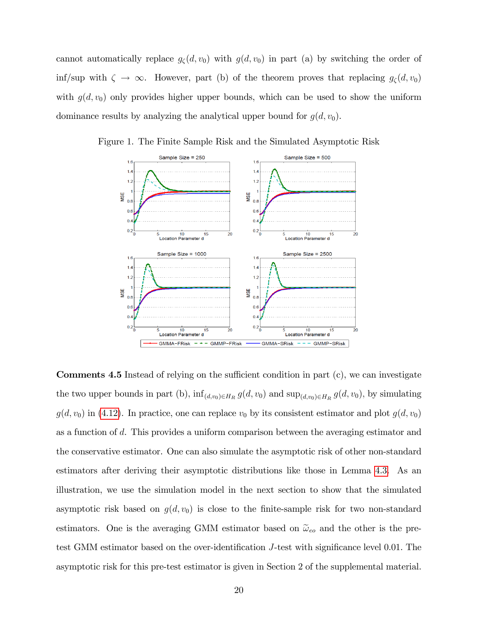cannot automatically replace  $g_{\zeta}(d, v_0)$  with  $g(d, v_0)$  in part (a) by switching the order of inf/sup with  $\zeta \to \infty$ . However, part (b) of the theorem proves that replacing  $g_{\zeta}(d, v_0)$ with  $g(d, v_0)$  only provides higher upper bounds, which can be used to show the uniform dominance results by analyzing the analytical upper bound for  $g(d, v_0)$ .



Figure 1. The Finite Sample Risk and the Simulated Asymptotic Risk

**Comments 4.5** Instead of relying on the sufficient condition in part  $(c)$ , we can investigate the two upper bounds in part (b),  $\inf_{(d,v_0)\in H_R} g(d,v_0)$  and  $\sup_{(d,v_0)\in H_R} g(d,v_0)$ , by simulating  $g(d, v_0)$  in [\(4.12\)](#page-19-0). In practice, one can replace  $v_0$  by its consistent estimator and plot  $g(d, v_0)$ as a function of d. This provides a uniform comparison between the averaging estimator and the conservative estimator. One can also simulate the asymptotic risk of other non-standard estimators after deriving their asymptotic distributions like those in Lemma [4.3.](#page-18-0) As an illustration, we use the simulation model in the next section to show that the simulated asymptotic risk based on  $g(d, v_0)$  is close to the finite-sample risk for two non-standard estimators. One is the averaging GMM estimator based on  $\tilde{\omega}_{eo}$  and the other is the pretest GMM estimator based on the over-identification J-test with significance level 0.01. The asymptotic risk for this pre-test estimator is given in Section 2 of the supplemental material.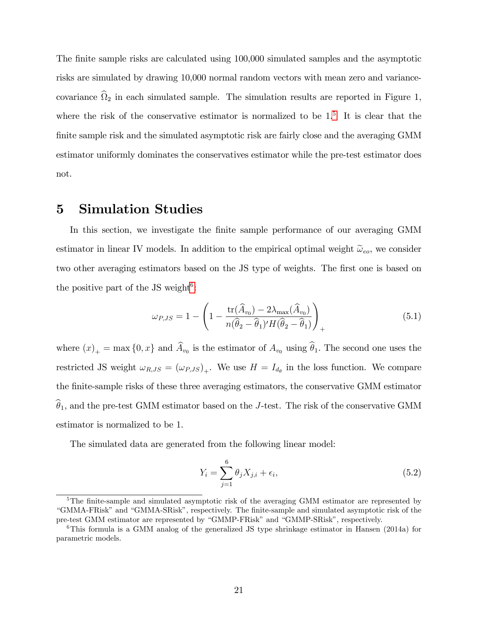The finite sample risks are calculated using 100,000 simulated samples and the asymptotic risks are simulated by drawing 10,000 normal random vectors with mean zero and variancecovariance  $\Omega_2$  in each simulated sample. The simulation results are reported in Figure 1, where the risk of the conservative estimator is normalized to be  $1<sup>5</sup>$  $1<sup>5</sup>$  $1<sup>5</sup>$ . It is clear that the finite sample risk and the simulated asymptotic risk are fairly close and the averaging GMM estimator uniformly dominates the conservatives estimator while the pre-test estimator does not.

### <span id="page-21-0"></span>5 Simulation Studies

In this section, we investigate the finite sample performance of our averaging GMM estimator in linear IV models. In addition to the empirical optimal weight  $\tilde{\omega}_{eo}$ , we consider two other averaging estimators based on the JS type of weights. The first one is based on the positive part of the JS weight<sup>[6](#page-21-2)</sup>:

$$
\omega_{P,JS} = 1 - \left(1 - \frac{\text{tr}(\widehat{A}_{v_0}) - 2\lambda_{\max}(\widehat{A}_{v_0})}{n(\widehat{\theta}_2 - \widehat{\theta}_1)'H(\widehat{\theta}_2 - \widehat{\theta}_1)}\right)_+ \tag{5.1}
$$

where  $(x)_+$  = max  $\{0, x\}$  and  $A_{v_0}$  is the estimator of  $A_{v_0}$  using  $\theta_1$ . The second one uses the restricted JS weight  $\omega_{R,JS} = (\omega_{P,JS})_+$ . We use  $H = I_{d_{\theta}}$  in the loss function. We compare the Önite-sample risks of these three averaging estimators, the conservative GMM estimator  $\widehat{\theta}_1$ , and the pre-test GMM estimator based on the J-test. The risk of the conservative GMM estimator is normalized to be 1.

The simulated data are generated from the following linear model:

<span id="page-21-3"></span>
$$
Y_i = \sum_{j=1}^{6} \theta_j X_{j,i} + \epsilon_i,
$$
\n(5.2)

<span id="page-21-1"></span><sup>&</sup>lt;sup>5</sup>The finite-sample and simulated asymptotic risk of the averaging GMM estimator are represented by ìGMMA-FRiskîand ìGMMA-SRiskî, respectively. The Önite-sample and simulated asymptotic risk of the pre-test GMM estimator are represented by "GMMP-FRisk" and "GMMP-SRisk", respectively.

<span id="page-21-2"></span> $6$ This formula is a GMM analog of the generalized JS type shrinkage estimator in Hansen (2014a) for parametric models.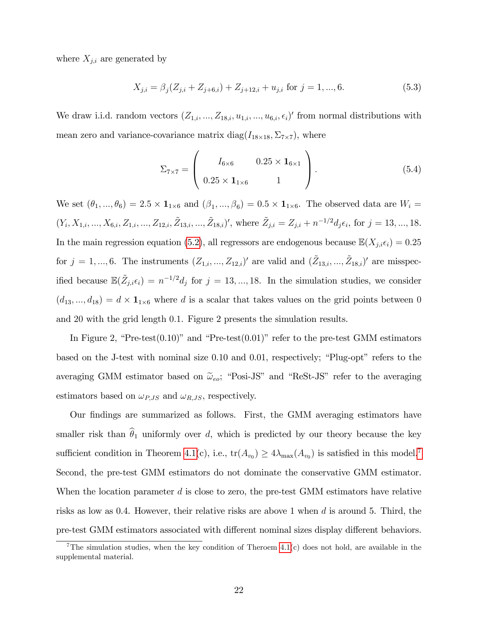where  $X_{j,i}$  are generated by

$$
X_{j,i} = \beta_j (Z_{j,i} + Z_{j+6,i}) + Z_{j+12,i} + u_{j,i} \text{ for } j = 1, ..., 6.
$$
 (5.3)

We draw i.i.d. random vectors  $(Z_{1,i},..., Z_{18,i}, u_{1,i},..., u_{6,i}, \epsilon_i)'$  from normal distributions with mean zero and variance-covariance matrix  $diag(I_{18\times18}, \Sigma_{7\times7})$ , where

$$
\Sigma_{7\times7} = \begin{pmatrix} I_{6\times6} & 0.25 \times \mathbf{1}_{6\times1} \\ 0.25 \times \mathbf{1}_{1\times6} & 1 \end{pmatrix} . \tag{5.4}
$$

We set  $(\theta_1, ..., \theta_6) = 2.5 \times \mathbf{1}_{1 \times 6}$  and  $(\beta_1, ..., \beta_6) = 0.5 \times \mathbf{1}_{1 \times 6}$ . The observed data are  $W_i =$  $(Y_i, X_{1,i},..., X_{6,i}, Z_{1,i},..., Z_{12,i}, \tilde{Z}_{13,i},..., \tilde{Z}_{18,i})'$ , where  $\tilde{Z}_{j,i} = Z_{j,i} + n^{-1/2} d_j \epsilon_i$ , for  $j = 13,...,18$ . In the main regression equation [\(5.2\)](#page-21-3), all regressors are endogenous because  $\mathbb{E}(X_{j,i}\epsilon_i) = 0.25$ for  $j = 1, ..., 6$ . The instruments  $(Z_{1,i}, ..., Z_{12,i})'$  are valid and  $(\tilde{Z}_{13,i}, ..., \tilde{Z}_{18,i})'$  are misspecified because  $\mathbb{E}(\tilde{Z}_{j,i}\epsilon_i) = n^{-1/2}d_j$  for  $j = 13, ..., 18$ . In the simulation studies, we consider  $(d_{13},...,d_{18}) = d \times \mathbf{1}_{1 \times 6}$  where d is a scalar that takes values on the grid points between 0 and 20 with the grid length 0.1. Figure 2 presents the simulation results.

In Figure 2, "Pre-test $(0.10)$ " and "Pre-test $(0.01)$ " refer to the pre-test GMM estimators based on the J-test with nominal size  $0.10$  and  $0.01$ , respectively; "Plug-opt" refers to the averaging GMM estimator based on  $\tilde{\omega}_{eo}$ ; "Posi-JS" and "ReSt-JS" refer to the averaging estimators based on  $\omega_{P,JS}$  and  $\omega_{R,JS}$ , respectively.

Our Öndings are summarized as follows. First, the GMM averaging estimators have smaller risk than  $\hat{\theta}_1$  uniformly over d, which is predicted by our theory because the key sufficient condition in Theorem [4.1\(](#page-19-1)c), i.e.,  $\text{tr}(A_{v_0}) \ge 4\lambda_{\max}(A_{v_0})$  is satisfied in this model.<sup>[7](#page-22-0)</sup> Second, the pre-test GMM estimators do not dominate the conservative GMM estimator. When the location parameter  $d$  is close to zero, the pre-test GMM estimators have relative risks as low as 0.4. However, their relative risks are above 1 when  $d$  is around 5. Third, the pre-test GMM estimators associated with different nominal sizes display different behaviors.

<span id="page-22-0"></span><sup>&</sup>lt;sup>7</sup>The simulation studies, when the key condition of Theroem  $4.1(c)$  does not hold, are available in the supplemental material.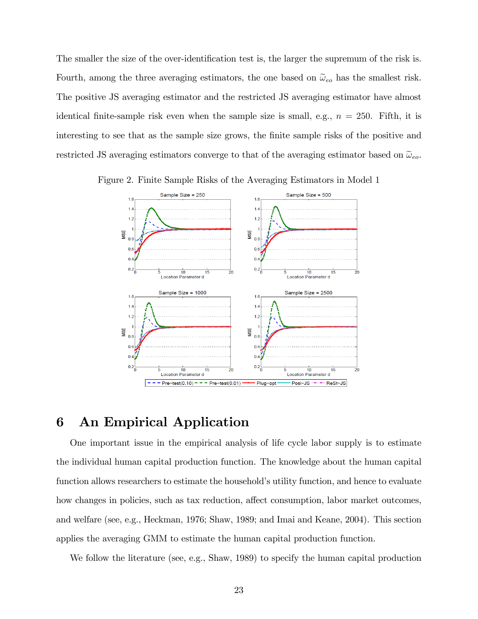The smaller the size of the over-identification test is, the larger the supremum of the risk is. Fourth, among the three averaging estimators, the one based on  $\tilde{\omega}_{eo}$  has the smallest risk. The positive JS averaging estimator and the restricted JS averaging estimator have almost identical finite-sample risk even when the sample size is small, e.g.,  $n = 250$ . Fifth, it is interesting to see that as the sample size grows, the finite sample risks of the positive and restricted JS averaging estimators converge to that of the averaging estimator based on  $\tilde{\omega}_{eo}$ .



Figure 2. Finite Sample Risks of the Averaging Estimators in Model 1

## <span id="page-23-0"></span>6 An Empirical Application

One important issue in the empirical analysis of life cycle labor supply is to estimate the individual human capital production function. The knowledge about the human capital function allows researchers to estimate the household's utility function, and hence to evaluate how changes in policies, such as tax reduction, affect consumption, labor market outcomes, and welfare (see, e.g., Heckman, 1976; Shaw, 1989; and Imai and Keane, 2004). This section applies the averaging GMM to estimate the human capital production function.

We follow the literature (see, e.g., Shaw, 1989) to specify the human capital production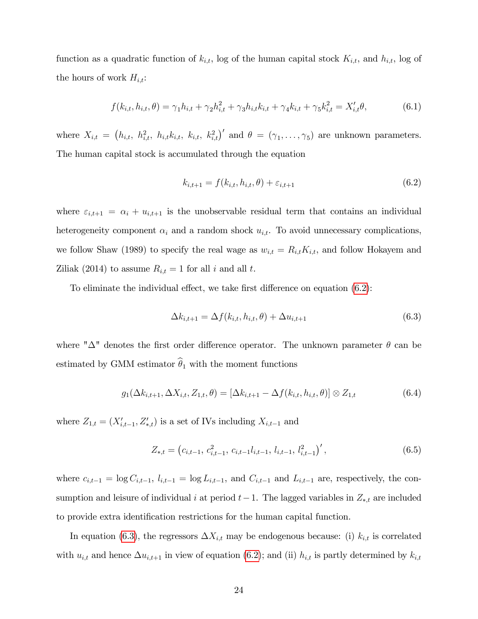function as a quadratic function of  $k_{i,t}$ , log of the human capital stock  $K_{i,t}$ , and  $h_{i,t}$ , log of the hours of work  $H_{i,t}$ :

$$
f(k_{i,t}, h_{i,t}, \theta) = \gamma_1 h_{i,t} + \gamma_2 h_{i,t}^2 + \gamma_3 h_{i,t} k_{i,t} + \gamma_4 k_{i,t} + \gamma_5 k_{i,t}^2 = X'_{i,t} \theta,
$$
(6.1)

where  $X_{i,t} = (h_{i,t}, h_{i,t}^2, h_{i,t}h_{i,t}, k_{i,t}, k_{i,t}^2)$  and  $\theta = (\gamma_1, \ldots, \gamma_5)$  are unknown parameters. The human capital stock is accumulated through the equation

<span id="page-24-0"></span>
$$
k_{i,t+1} = f(k_{i,t}, h_{i,t}, \theta) + \varepsilon_{i,t+1}
$$
\n(6.2)

where  $\varepsilon_{i,t+1} = \alpha_i + u_{i,t+1}$  is the unobservable residual term that contains an individual heterogeneity component  $\alpha_i$  and a random shock  $u_{i,t}$ . To avoid unnecessary complications, we follow Shaw (1989) to specify the real wage as  $w_{i,t} = R_{i,t}K_{i,t}$ , and follow Hokayem and Ziliak (2014) to assume  $R_{i,t} = 1$  for all i and all t.

To eliminate the individual effect, we take first difference on equation  $(6.2)$ :

<span id="page-24-1"></span>
$$
\Delta k_{i,t+1} = \Delta f(k_{i,t}, h_{i,t}, \theta) + \Delta u_{i,t+1}
$$
\n(6.3)

where " $\Delta$ " denotes the first order difference operator. The unknown parameter  $\theta$  can be estimated by GMM estimator  $\widehat{\theta}_1$  with the moment functions

<span id="page-24-2"></span>
$$
g_1(\Delta k_{i,t+1}, \Delta X_{i,t}, Z_{1,t}, \theta) = [\Delta k_{i,t+1} - \Delta f(k_{i,t}, h_{i,t}, \theta)] \otimes Z_{1,t}
$$
(6.4)

where  $Z_{1,t} = (X'_{i,t-1}, Z'_{*,t})$  is a set of IVs including  $X_{i,t-1}$  and

$$
Z_{*,t} = (c_{i,t-1}, c_{i,t-1}^2, c_{i,t-1}l_{i,t-1}, l_{i,t-1}, l_{i,t-1}^2)', \qquad (6.5)
$$

where  $c_{i,t-1} = \log C_{i,t-1}$ ,  $l_{i,t-1} = \log L_{i,t-1}$ , and  $C_{i,t-1}$  and  $L_{i,t-1}$  are, respectively, the consumption and leisure of individual i at period  $t-1$ . The lagged variables in  $Z_{*,t}$  are included to provide extra identification restrictions for the human capital function.

In equation [\(6.3\)](#page-24-1), the regressors  $\Delta X_{i,t}$  may be endogenous because: (i)  $k_{i,t}$  is correlated with  $u_{i,t}$  and hence  $\Delta u_{i,t+1}$  in view of equation [\(6.2\)](#page-24-0); and (ii)  $h_{i,t}$  is partly determined by  $k_{i,t}$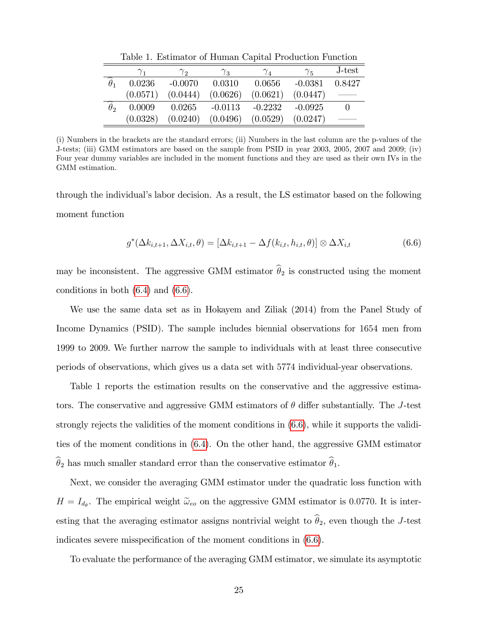|                                        |          | $\gamma_{2}$ | $\gamma_{3}$ | $\gamma_4$ | $\gamma_{5}$ | J-test |
|----------------------------------------|----------|--------------|--------------|------------|--------------|--------|
| $\theta_1$                             | 0.0236   | $-0.0070$    | 0.0310       | 0.0656     | $-0.0381$    | 0.8427 |
|                                        | (0.0571) | (0.0444)     | (0.0626)     | (0.0621)   | (0.0447)     |        |
| $\overline{\phantom{a}}$<br>$\theta$ 2 | 0.0009   | 0.0265       | $-0.0113$    | $-0.2232$  | $-0.0925$    |        |
|                                        | (0.0328) | (0.0240)     | (0.0496)     | (0.0529)   | (0.0247)     |        |

Table 1. Estimator of Human Capital Production Function

(i) Numbers in the brackets are the standard errors; (ii) Numbers in the last column are the p-values of the J-tests; (iii) GMM estimators are based on the sample from PSID in year 2003, 2005, 2007 and 2009; (iv) Four year dummy variables are included in the moment functions and they are used as their own IVs in the GMM estimation.

through the individual's labor decision. As a result, the LS estimator based on the following moment function

<span id="page-25-0"></span>
$$
g^*(\Delta k_{i,t+1}, \Delta X_{i,t}, \theta) = [\Delta k_{i,t+1} - \Delta f(k_{i,t}, h_{i,t}, \theta)] \otimes \Delta X_{i,t}
$$
\n(6.6)

may be inconsistent. The aggressive GMM estimator  $\hat{\theta}_2$  is constructed using the moment conditions in both [\(6.4\)](#page-24-2) and [\(6.6\)](#page-25-0).

We use the same data set as in Hokayem and Ziliak (2014) from the Panel Study of Income Dynamics (PSID). The sample includes biennial observations for 1654 men from 1999 to 2009. We further narrow the sample to individuals with at least three consecutive periods of observations, which gives us a data set with 5774 individual-year observations.

Table 1 reports the estimation results on the conservative and the aggressive estimators. The conservative and aggressive GMM estimators of  $\theta$  differ substantially. The J-test strongly rejects the validities of the moment conditions in [\(6.6\)](#page-25-0), while it supports the validities of the moment conditions in [\(6.4\)](#page-24-2). On the other hand, the aggressive GMM estimator  $\widehat{\theta}_2$  has much smaller standard error than the conservative estimator  $\widehat{\theta}_1$ .

Next, we consider the averaging GMM estimator under the quadratic loss function with  $H = I_{d_{\theta}}$ . The empirical weight  $\tilde{\omega}_{eo}$  on the aggressive GMM estimator is 0.0770. It is interesting that the averaging estimator assigns nontrivial weight to  $\widehat{\theta}_2$ , even though the J-test indicates severe misspecification of the moment conditions in  $(6.6)$ .

To evaluate the performance of the averaging GMM estimator, we simulate its asymptotic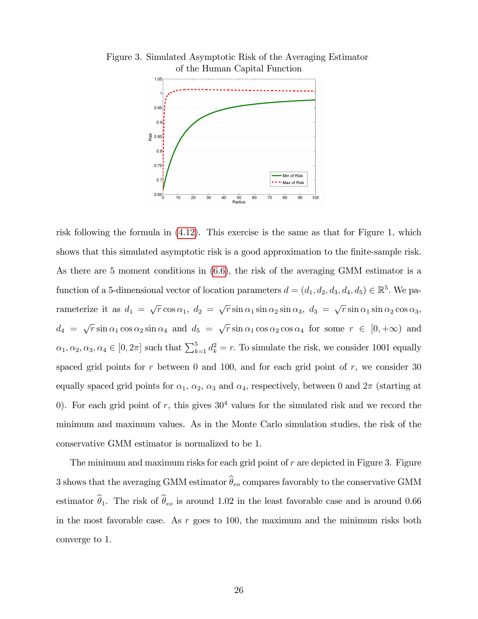

Figure 3. Simulated Asymptotic Risk of the Averaging Estimator of the Human Capital Function

risk following the formula in [\(4.12\)](#page-19-0). This exercise is the same as that for Figure 1, which shows that this simulated asymptotic risk is a good approximation to the finite-sample risk. As there are 5 moment conditions in [\(6.6\)](#page-25-0), the risk of the averaging GMM estimator is a function of a 5-dimensional vector of location parameters  $d = (d_1, d_2, d_3, d_4, d_5) \in \mathbb{R}^5$ . We parameterize it as  $d_1 = \sqrt{r} \cos \alpha_1$ ,  $d_2 = \sqrt{r} \sin \alpha_1 \sin \alpha_2 \sin \alpha_3$ ,  $d_3 = \sqrt{r} \sin \alpha_1 \sin \alpha_2 \cos \alpha_3$ ,  $d_4 = \sqrt{r} \sin \alpha_1 \cos \alpha_2 \sin \alpha_4$  and  $d_5 = \sqrt{r} \sin \alpha_1 \cos \alpha_2 \cos \alpha_4$  for some  $r \in [0, +\infty)$  and  $\alpha_1, \alpha_2, \alpha_3, \alpha_4 \in [0, 2\pi]$  such that  $\sum_{k=1}^5 d_k^2 = r$ . To simulate the risk, we consider 1001 equally spaced grid points for r between 0 and 100, and for each grid point of r, we consider 30 equally spaced grid points for  $\alpha_1$ ,  $\alpha_2$ ,  $\alpha_3$  and  $\alpha_4$ , respectively, between 0 and  $2\pi$  (starting at 0). For each grid point of r, this gives  $30<sup>4</sup>$  values for the simulated risk and we record the minimum and maximum values. As in the Monte Carlo simulation studies, the risk of the conservative GMM estimator is normalized to be 1.

<span id="page-26-0"></span>The minimum and maximum risks for each grid point of  $r$  are depicted in Figure 3. Figure 3 shows that the averaging GMM estimator  $\widehat{\theta}_{eo}$  compares favorably to the conservative GMM estimator  $\hat{\theta}_1$ . The risk of  $\hat{\theta}_{eo}$  is around 1.02 in the least favorable case and is around 0.66 in the most favorable case. As  $r$  goes to 100, the maximum and the minimum risks both converge to 1.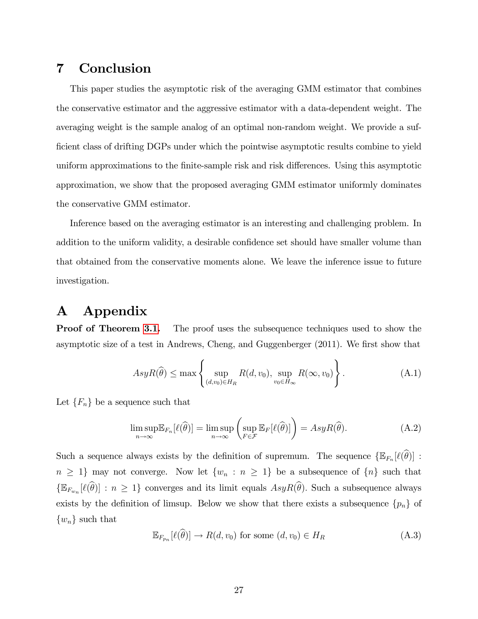# 7 Conclusion

This paper studies the asymptotic risk of the averaging GMM estimator that combines the conservative estimator and the aggressive estimator with a data-dependent weight. The averaging weight is the sample analog of an optimal non-random weight. We provide a sufficient class of drifting DGPs under which the pointwise asymptotic results combine to yield uniform approximations to the finite-sample risk and risk differences. Using this asymptotic approximation, we show that the proposed averaging GMM estimator uniformly dominates the conservative GMM estimator.

Inference based on the averaging estimator is an interesting and challenging problem. In addition to the uniform validity, a desirable confidence set should have smaller volume than that obtained from the conservative moments alone. We leave the inference issue to future investigation.

# A Appendix

**Proof of Theorem [3.1.](#page-11-0)** The proof uses the subsequence techniques used to show the asymptotic size of a test in Andrews, Cheng, and Guggenberger (2011). We first show that

<span id="page-27-1"></span>
$$
AsyR(\widehat{\theta}) \le \max \left\{ \sup_{(d,v_0)\in H_R} R(d,v_0), \sup_{v_0\in H_\infty} R(\infty, v_0) \right\}.
$$
 (A.1)

Let  ${F_n}$  be a sequence such that

$$
\limsup_{n \to \infty} \mathbb{E}_{F_n}[\ell(\widehat{\theta})] = \limsup_{n \to \infty} \left( \sup_{F \in \mathcal{F}} \mathbb{E}_F[\ell(\widehat{\theta})] \right) = AsyR(\widehat{\theta}). \tag{A.2}
$$

Such a sequence always exists by the definition of supremum. The sequence  $\{\mathbb{E}_{F_n}[\ell(\theta)] :$  $n \geq 1$  may not converge. Now let  $\{w_n : n \geq 1\}$  be a subsequence of  $\{n\}$  such that  $\{\mathbb{E}_{F_{w_n}}[\ell(\theta)]: n \geq 1\}$  converges and its limit equals  $AsyR(\theta)$ . Such a subsequence always exists by the definition of limsup. Below we show that there exists a subsequence  $\{p_n\}$  of  $\{w_n\}$  such that

<span id="page-27-0"></span>
$$
\mathbb{E}_{F_{p_n}}[\ell(\theta)] \to R(d, v_0) \text{ for some } (d, v_0) \in H_R
$$
\n(A.3)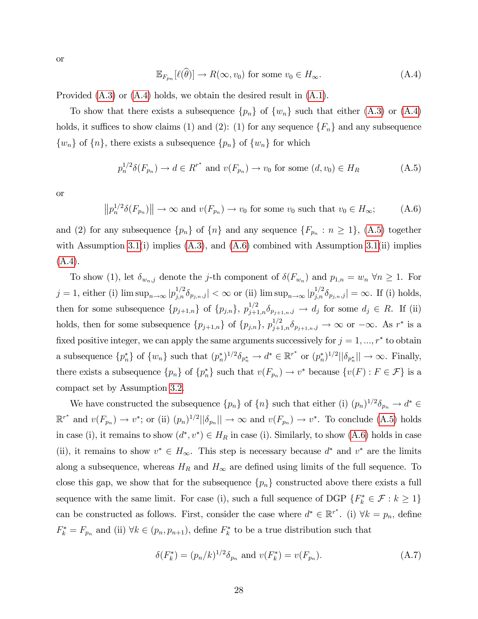or

<span id="page-28-0"></span>
$$
\mathbb{E}_{F_{p_n}}[\ell(\widehat{\theta})] \to R(\infty, v_0) \text{ for some } v_0 \in H_{\infty}.
$$
 (A.4)

Provided [\(A.3\)](#page-27-0) or [\(A.4\)](#page-28-0) holds, we obtain the desired result in [\(A.1\)](#page-27-1).

To show that there exists a subsequence  $\{p_n\}$  of  $\{w_n\}$  such that either  $(A.3)$  or  $(A.4)$ holds, it suffices to show claims (1) and (2): (1) for any sequence  $\{F_n\}$  and any subsequence  $\{w_n\}$  of  $\{n\}$ , there exists a subsequence  $\{p_n\}$  of  $\{w_n\}$  for which

<span id="page-28-1"></span>
$$
p_n^{1/2}\delta(F_{p_n}) \to d \in \mathbb{R}^{r^*} \text{ and } v(F_{p_n}) \to v_0 \text{ for some } (d, v_0) \in H_R
$$
 (A.5)

or

<span id="page-28-2"></span>
$$
||p_n^{1/2}\delta(F_{p_n})|| \to \infty \text{ and } v(F_{p_n}) \to v_0 \text{ for some } v_0 \text{ such that } v_0 \in H_\infty; \tag{A.6}
$$

and (2) for any subsequence  $\{p_n\}$  of  $\{n\}$  and any sequence  $\{F_{p_n}: n \geq 1\}$ , [\(A.5\)](#page-28-1) together with Assumption [3.1\(](#page-10-0)i) implies  $(A.3)$ , and  $(A.6)$  combined with Assumption 3.1(ii) implies [\(A.4\)](#page-28-0).

To show (1), let  $\delta_{w_n,j}$  denote the *j*-th component of  $\delta(F_{w_n})$  and  $p_{1,n} = w_n \,\forall n \ge 1$ . For  $j = 1$ , either (i)  $\limsup_{n \to \infty} |p_{j,n}^{1/2} \delta_{p_{j,n},j}| < \infty$  or (ii)  $\limsup_{n \to \infty} |p_{j,n}^{1/2} \delta_{p_{j,n},j}| = \infty$ . If (i) holds, then for some subsequence  $\{p_{j+1,n}\}\,$  of  $\{p_{j,n}\}\,$ ,  $p_{j+1,n}^{1/2}\delta_{p_{j+1,n},j} \to d_j$  for some  $d_j \in R$ . If (ii) holds, then for some subsequence  $\{p_{j+1,n}\}\$  of  $\{p_{j,n}\}\$ ,  $p_{j+1,n}^{1/2}\delta_{p_{j+1,n},j}\to\infty$  or  $-\infty$ . As  $r^*$  is a fixed positive integer, we can apply the same arguments successively for  $j = 1, ..., r^*$  to obtain a subsequence  $\{p_n^*\}$  of  $\{w_n\}$  such that  $(p_n^*)^{1/2}\delta_{p_n^*} \to d^* \in \mathbb{R}^{r^*}$  or  $(p_n^*)^{1/2}||\delta_{p_n^*}|| \to \infty$ . Finally, there exists a subsequence  $\{p_n\}$  of  $\{p_n^*\}$  such that  $v(F_{p_n}) \to v^*$  because  $\{v(F) : F \in \mathcal{F}\}\$ is a compact set by Assumption [3.2.](#page-10-1)

We have constructed the subsequence  $\{p_n\}$  of  $\{n\}$  such that either (i)  $(p_n)^{1/2}\delta_{p_n} \to d^* \in$  $\mathbb{R}^{r^*}$  and  $v(F_{p_n}) \to v^*$ ; or (ii)  $(p_n)^{1/2} ||\delta_{p_n}|| \to \infty$  and  $v(F_{p_n}) \to v^*$ . To conclude [\(A.5\)](#page-28-1) holds in case (i), it remains to show  $(d^*, v^*) \in H_R$  in case (i). Similarly, to show  $(A.6)$  holds in case (ii), it remains to show  $v^* \in H_\infty$ . This step is necessary because  $d^*$  and  $v^*$  are the limits along a subsequence, whereas  $H_R$  and  $H_\infty$  are defined using limits of the full sequence. To close this gap, we show that for the subsequence  $\{p_n\}$  constructed above there exists a full sequence with the same limit. For case (i), such a full sequence of DGP  $\{F_k^* \in \mathcal{F} : k \geq 1\}$ can be constructed as follows. First, consider the case where  $d^* \in \mathbb{R}^{r^*}$ . (i)  $\forall k = p_n$ , define  $F_k^* = F_{p_n}$  and (ii)  $\forall k \in (p_n, p_{n+1})$ , define  $F_k^*$  to be a true distribution such that

<span id="page-28-3"></span>
$$
\delta(F_k^*) = (p_n/k)^{1/2} \delta_{p_n} \text{ and } v(F_k^*) = v(F_{p_n}). \tag{A.7}
$$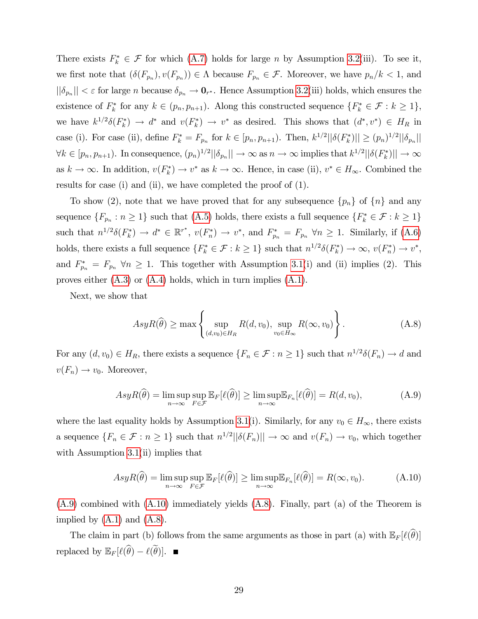There exists  $F_k^* \in \mathcal{F}$  for which [\(A.7\)](#page-28-3) holds for large *n* by Assumption [3.2\(](#page-10-1)iii). To see it, we first note that  $(\delta(F_{p_n}), v(F_{p_n})) \in \Lambda$  because  $F_{p_n} \in \mathcal{F}$ . Moreover, we have  $p_n/k < 1$ , and  $||\delta_{p_n}|| < \varepsilon$  for large *n* because  $\delta_{p_n} \to \mathbf{0}_{r^*}$ . Hence Assumption [3.2\(](#page-10-1)iii) holds, which ensures the existence of  $F_k^*$  for any  $k \in (p_n, p_{n+1})$ . Along this constructed sequence  $\{F_k^* \in \mathcal{F} : k \geq 1\}$ , we have  $k^{1/2}\delta(F_k^*) \to d^*$  and  $v(F_k^*) \to v^*$  as desired. This shows that  $(d^*, v^*) \in H_R$  in case (i). For case (ii), define  $F_k^* = F_{p_n}$  for  $k \in [p_n, p_{n+1})$ . Then,  $k^{1/2} ||\delta(F_k^*)|| \ge (p_n)^{1/2} ||\delta_{p_n}||$  $\forall k \in [p_n, p_{n+1})$ . In consequence,  $(p_n)^{1/2} ||\delta_{p_n}|| \to \infty$  as  $n \to \infty$  implies that  $k^{1/2} ||\delta(F_k^*)|| \to \infty$ as  $k \to \infty$ . In addition,  $v(F_k^*) \to v^*$  as  $k \to \infty$ . Hence, in case (ii),  $v^* \in H_\infty$ . Combined the results for case (i) and (ii), we have completed the proof of (1).

To show (2), note that we have proved that for any subsequence  ${p_n}$  of  ${n \}$  and any sequence  $\{F_{p_n}: n \geq 1\}$  such that  $(A.5)$  holds, there exists a full sequence  $\{F_k^* \in \mathcal{F}: k \geq 1\}$ such that  $n^{1/2}\delta(F_k^*) \to d^* \in \mathbb{R}^{r^*}, v(F_n^*) \to v^*$ , and  $F_{p_n}^* = F_{p_n} \ \forall n \geq 1$ . Similarly, if [\(A.6\)](#page-28-2) holds, there exists a full sequence  $\{F_k^* \in \mathcal{F} : k \geq 1\}$  such that  $n^{1/2}\delta(F_k^*) \to \infty$ ,  $v(F_n^*) \to v^*$ , and  $F_{p_n}^* = F_{p_n} \,\forall n \geq 1$ . This together with Assumption [3.1\(](#page-10-0)i) and (ii) implies (2). This proves either  $(A.3)$  or  $(A.4)$  holds, which in turn implies  $(A.1)$ .

Next, we show that

<span id="page-29-2"></span>
$$
AsyR(\widehat{\theta}) \ge \max\left\{\sup_{(d,v_0)\in H_R} R(d,v_0), \sup_{v_0\in H_\infty} R(\infty, v_0)\right\}.
$$
 (A.8)

For any  $(d, v_0) \in H_R$ , there exists a sequence  $\{F_n \in \mathcal{F} : n \geq 1\}$  such that  $n^{1/2}\delta(F_n) \to d$  and  $v(F_n) \to v_0$ . Moreover,

<span id="page-29-0"></span>
$$
AsyR(\widehat{\theta}) = \limsup_{n \to \infty} \sup_{F \in \mathcal{F}} \mathbb{E}_F[\ell(\widehat{\theta})] \ge \limsup_{n \to \infty} \mathbb{E}_{F_n}[\ell(\widehat{\theta})] = R(d, v_0), \tag{A.9}
$$

where the last equality holds by Assumption [3.1\(](#page-10-0)i). Similarly, for any  $v_0 \in H_{\infty}$ , there exists a sequence  $\{F_n \in \mathcal{F} : n \geq 1\}$  such that  $n^{1/2} ||\delta(F_n)|| \to \infty$  and  $v(F_n) \to v_0$ , which together with Assumption [3.1\(](#page-10-0)ii) implies that

<span id="page-29-1"></span>
$$
AsyR(\widehat{\theta}) = \limsup_{n \to \infty} \sup_{F \in \mathcal{F}} \mathbb{E}_F[\ell(\widehat{\theta})] \ge \limsup_{n \to \infty} \mathbb{E}_{F_n}[\ell(\widehat{\theta})] = R(\infty, v_0). \tag{A.10}
$$

[\(A.9\)](#page-29-0) combined with [\(A.10\)](#page-29-1) immediately yields [\(A.8\)](#page-29-2). Finally, part (a) of the Theorem is implied by  $(A.1)$  and  $(A.8)$ .

The claim in part (b) follows from the same arguments as those in part (a) with  $\mathbb{E}_F[\ell(\widehat{\theta})]$ replaced by  $\mathbb{E}_F[\ell(\widehat{\theta}) - \ell(\widetilde{\theta})]$ .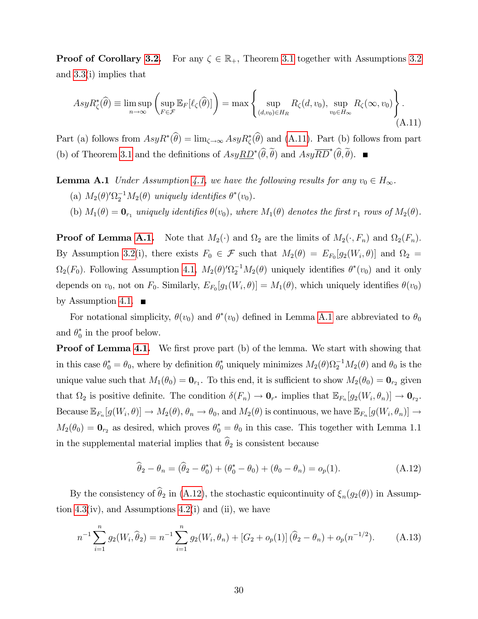**Proof of Corollary [3.2.](#page-13-1)** For any  $\zeta \in \mathbb{R}_+$ , Theorem [3.1](#page-11-0) together with Assumptions [3.2](#page-10-1) and [3.3\(](#page-12-1)i) implies that

<span id="page-30-0"></span>
$$
AsyR_{\zeta}^*(\widehat{\theta}) \equiv \limsup_{n \to \infty} \left( \sup_{F \in \mathcal{F}} \mathbb{E}_F[\ell_{\zeta}(\widehat{\theta})] \right) = \max \left\{ \sup_{(d,v_0) \in H_R} R_{\zeta}(d,v_0), \sup_{v_0 \in H_{\infty}} R_{\zeta}(\infty, v_0) \right\}.
$$
\n(A.11)

Part (a) follows from  $AsyR^*(\theta) = \lim_{\zeta \to \infty} AsyR^*_{\zeta}(\theta)$  and [\(A.11\)](#page-30-0). Part (b) follows from part (b) of Theorem [3.1](#page-11-0) and the definitions of  $Asy\underline{RD}^*(\hat{\theta},\hat{\theta})$  and  $Asy\overline{RD}^*(\hat{\theta},\hat{\theta})$ .

- <span id="page-30-1"></span>**Lemma A.1** Under Assumption [4.1,](#page-14-0) we have the following results for any  $v_0 \in H_{\infty}$ . (a)  $M_2(\theta)'\Omega_2^{-1}M_2(\theta)$  uniquely identifies  $\theta^*(v_0)$ .
	- (b)  $M_1(\theta) = \mathbf{0}_{r_1}$  uniquely identifies  $\theta(v_0)$ , where  $M_1(\theta)$  denotes the first  $r_1$  rows of  $M_2(\theta)$ .

**Proof of Lemma [A.1.](#page-30-1)** Note that  $M_2(\cdot)$  and  $\Omega_2$  are the limits of  $M_2(\cdot, F_n)$  and  $\Omega_2(F_n)$ . By Assumption [3.2\(](#page-10-1)i), there exists  $F_0 \in \mathcal{F}$  such that  $M_2(\theta) = E_{F_0}[g_2(W_i, \theta)]$  and  $\Omega_2 =$  $\Omega_2(F_0)$ . Following Assumption [4.1,](#page-14-0)  $M_2(\theta)'\Omega_2^{-1}M_2(\theta)$  uniquely identifies  $\theta^*(v_0)$  and it only depends on  $v_0$ , not on  $F_0$ . Similarly,  $E_{F_0}[g_1(W_i, \theta)] = M_1(\theta)$ , which uniquely identifies  $\theta(v_0)$ by Assumption [4.1.](#page-14-0)  $\blacksquare$ 

For notational simplicity,  $\theta(v_0)$  and  $\theta^*(v_0)$  defined in Lemma [A.1](#page-30-1) are abbreviated to  $\theta_0$ and  $\theta_0^*$  in the proof below.

**Proof of Lemma [4.1.](#page-15-1)** We first prove part (b) of the lemma. We start with showing that in this case  $\theta_0^* = \theta_0$ , where by definition  $\theta_0^*$  uniquely minimizes  $M_2(\theta)\Omega_2^{-1}M_2(\theta)$  and  $\theta_0$  is the unique value such that  $M_1(\theta_0) = \mathbf{0}_{r_1}$ . To this end, it is sufficient to show  $M_2(\theta_0) = \mathbf{0}_{r_2}$  given that  $\Omega_2$  is positive definite. The condition  $\delta(F_n) \to \mathbf{0}_{r^*}$  implies that  $\mathbb{E}_{F_n}[g_2(W_i, \theta_n)] \to \mathbf{0}_{r_2}$ . Because  $\mathbb{E}_{F_n}[g(W_i, \theta)] \to M_2(\theta), \theta_n \to \theta_0$ , and  $M_2(\theta)$  is continuous, we have  $\mathbb{E}_{F_n}[g(W_i, \theta_n)] \to$  $M_2(\theta_0) = \mathbf{0}_{r_2}$  as desired, which proves  $\theta_0^* = \theta_0$  in this case. This together with Lemma 1.1 in the supplemental material implies that  $\widehat{\theta}_2$  is consistent because

<span id="page-30-2"></span>
$$
\widehat{\theta}_2 - \theta_n = (\widehat{\theta}_2 - \theta_0^*) + (\theta_0^* - \theta_0) + (\theta_0 - \theta_n) = o_p(1).
$$
 (A.12)

By the consistency of  $\theta_2$  in [\(A.12\)](#page-30-2), the stochastic equicontinuity of  $\xi_n(g_2(\theta))$  in Assump-tion [4.3\(](#page-15-0)iv), and Assumptions [4.2\(](#page-14-1)i) and (ii), we have

<span id="page-30-3"></span>
$$
n^{-1} \sum_{i=1}^{n} g_2(W_i, \widehat{\theta}_2) = n^{-1} \sum_{i=1}^{n} g_2(W_i, \theta_n) + [G_2 + o_p(1)] (\widehat{\theta}_2 - \theta_n) + o_p(n^{-1/2}). \tag{A.13}
$$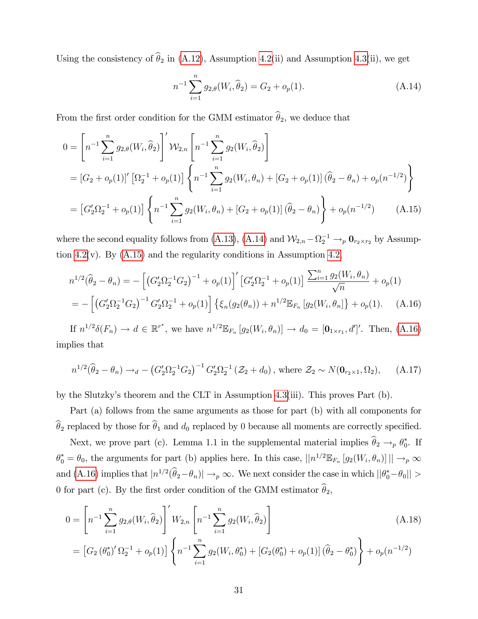Using the consistency of  $\hat{\theta}_2$  in [\(A.12\)](#page-30-2), Assumption [4.2\(](#page-14-1)ii) and Assumption [4.3\(](#page-15-0)ii), we get

<span id="page-31-2"></span><span id="page-31-1"></span><span id="page-31-0"></span>
$$
n^{-1} \sum_{i=1}^{n} g_{2,\theta}(W_i, \widehat{\theta}_2) = G_2 + o_p(1).
$$
 (A.14)

From the first order condition for the GMM estimator  $\hat{\theta}_2$ , we deduce that

$$
0 = \left[ n^{-1} \sum_{i=1}^{n} g_{2,\theta}(W_i, \hat{\theta}_2) \right]' \mathcal{W}_{2,n} \left[ n^{-1} \sum_{i=1}^{n} g_2(W_i, \hat{\theta}_2) \right]
$$
  
\n
$$
= \left[ G_2 + o_p(1) \right]' \left[ \Omega_2^{-1} + o_p(1) \right] \left\{ n^{-1} \sum_{i=1}^{n} g_2(W_i, \theta_n) + \left[ G_2 + o_p(1) \right] \left( \hat{\theta}_2 - \theta_n \right) + o_p(n^{-1/2}) \right\}
$$
  
\n
$$
= \left[ G_2' \Omega_2^{-1} + o_p(1) \right] \left\{ n^{-1} \sum_{i=1}^{n} g_2(W_i, \theta_n) + \left[ G_2 + o_p(1) \right] \left( \hat{\theta}_2 - \theta_n \right) \right\} + o_p(n^{-1/2}) \qquad (A.15)
$$

where the second equality follows from [\(A.13\)](#page-30-3), [\(A.14\)](#page-31-0) and  $\mathcal{W}_{2,n} - \Omega_2^{-1} \to_p \mathbf{0}_{r_2 \times r_2}$  by Assump-tion [4.2\(](#page-14-1)v). By  $(A.15)$  and the regularity conditions in Assumption [4.2,](#page-14-1)

$$
n^{1/2}(\widehat{\theta}_2 - \theta_n) = -\left[ \left( G_2' \Omega_2^{-1} G_2 \right)^{-1} + o_p(1) \right]' \left[ G_2' \Omega_2^{-1} + o_p(1) \right] \frac{\sum_{i=1}^n g_2(W_i, \theta_n)}{\sqrt{n}} + o_p(1)
$$
  
= 
$$
- \left[ \left( G_2' \Omega_2^{-1} G_2 \right)^{-1} G_2' \Omega_2^{-1} + o_p(1) \right] \left\{ \xi_n(g_2(\theta_n)) + n^{1/2} \mathbb{E}_{F_n} \left[ g_2(W_i, \theta_n) \right] + o_p(1). \quad (A.16)
$$

If  $n^{1/2}\delta(F_n) \to d \in \mathbb{R}^{r^*}$ , we have  $n^{1/2} \mathbb{E}_{F_n} [g_2(W_i, \theta_n)] \to d_0 = [\mathbf{0}_{1 \times r_1}, d']'$ . Then, [\(A.16\)](#page-31-2) implies that

$$
n^{1/2}(\hat{\theta}_2 - \theta_n) \to_d - (G_2' \Omega_2^{-1} G_2)^{-1} G_2' \Omega_2^{-1} (\mathcal{Z}_2 + d_0), \text{ where } \mathcal{Z}_2 \sim N(\mathbf{0}_{r_2 \times 1}, \Omega_2), \quad (A.17)
$$

by the Slutzkyís theorem and the CLT in Assumption [4.3\(](#page-15-0)iii). This proves Part (b).

Part (a) follows from the same arguments as those for part (b) with all components for  $\widehat{\theta}_2$  replaced by those for  $\widehat{\theta}_1$  and  $d_0$  replaced by 0 because all moments are correctly specified.

Next, we prove part (c). Lemma 1.1 in the supplemental material implies  $\theta_2 \rightarrow_p \theta_0^*$ . If  $\theta_0^* = \theta_0$ , the arguments for part (b) applies here. In this case,  $||n^{1/2} \mathbb{E}_{F_n}[g_2(W_i, \theta_n)]|| \to_p \infty$ and [\(A.16\)](#page-31-2) implies that  $|n^{1/2}(\hat{\theta}_2 - \theta_n)| \to_p \infty$ . We next consider the case in which  $||\theta_0^* - \theta_0||$ 0 for part (c). By the first order condition of the GMM estimator  $\hat{\theta}_2$ ,

$$
0 = \left[ n^{-1} \sum_{i=1}^{n} g_{2,\theta}(W_i, \hat{\theta}_2) \right]' W_{2,n} \left[ n^{-1} \sum_{i=1}^{n} g_2(W_i, \hat{\theta}_2) \right]
$$
(A.18)

<span id="page-31-3"></span>
$$
= [G_2 (\theta_0^*)' \Omega_2^{-1} + o_p(1)] \left\{ n^{-1} \sum_{i=1}^n g_2(W_i, \theta_0^*) + [G_2 (\theta_0^*) + o_p(1)] (\widehat{\theta}_2 - \theta_0^*) \right\} + o_p(n^{-1/2})
$$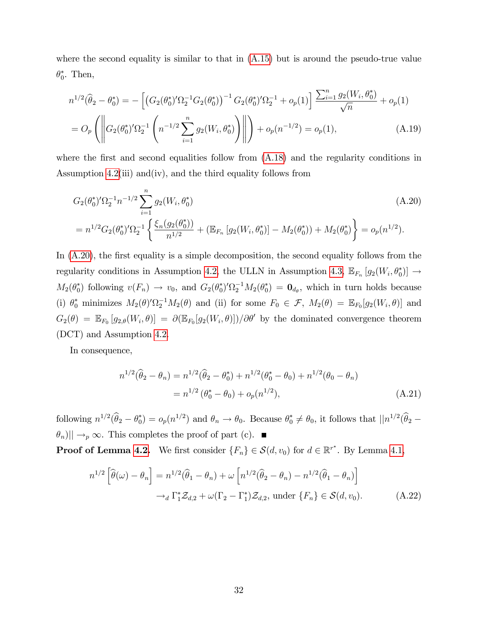where the second equality is similar to that in  $(A.15)$  but is around the pseudo-true value  $\theta_0^*$ . Then,

$$
n^{1/2}(\hat{\theta}_2 - \theta_0^*) = -\left[ \left( G_2(\theta_0^*)' \Omega_2^{-1} G_2(\theta_0^*) \right)^{-1} G_2(\theta_0^*)' \Omega_2^{-1} + o_p(1) \right] \frac{\sum_{i=1}^n g_2(W_i, \theta_0^*)}{\sqrt{n}} + o_p(1)
$$
  
=  $O_p \left( \left\| G_2(\theta_0^*)' \Omega_2^{-1} \left( n^{-1/2} \sum_{i=1}^n g_2(W_i, \theta_0^*) \right) \right\| \right) + o_p(n^{-1/2}) = o_p(1),$  (A.19)

where the first and second equalities follow from  $(A.18)$  and the regularity conditions in Assumption [4.2\(](#page-14-1)iii) and(iv), and the third equality follows from

<span id="page-32-0"></span>
$$
G_2(\theta_0^*)'\Omega_2^{-1}n^{-1/2}\sum_{i=1}^n g_2(W_i, \theta_0^*)
$$
\n
$$
= n^{1/2}G_2(\theta_0^*)'\Omega_2^{-1}\left\{\frac{\xi_n(g_2(\theta_0^*))}{n^{1/2}} + \left(\mathbb{E}_{F_n}\left[g_2(W_i, \theta_0^*)\right] - M_2(\theta_0^*)\right) + M_2(\theta_0^*)\right\} = o_p(n^{1/2}).
$$
\n(A.20)

In  $(A.20)$ , the first equality is a simple decomposition, the second equality follows from the regularity conditions in Assumption [4.2,](#page-14-1) the ULLN in Assumption [4.3,](#page-15-0)  $\mathbb{E}_{F_n}[g_2(W_i, \theta_0^*)] \to$  $M_2(\theta_0^*)$  following  $v(F_n) \to v_0$ , and  $G_2(\theta_0^*)' \Omega_2^{-1} M_2(\theta_0^*) = \mathbf{0}_{d_\theta}$ , which in turn holds because (i)  $\theta_0^*$  minimizes  $M_2(\theta) \Omega_2^{-1} M_2(\theta)$  and (ii) for some  $F_0 \in \mathcal{F}$ ,  $M_2(\theta) = \mathbb{E}_{F_0}[g_2(W_i, \theta)]$  and  $G_2(\theta) = \mathbb{E}_{F_0} [g_{2,\theta}(W_i, \theta)] = \partial \left(\mathbb{E}_{F_0}[g_2(W_i, \theta)]\right) / \partial \theta'$  by the dominated convergence theorem (DCT) and Assumption [4.2.](#page-14-1)

In consequence,

$$
n^{1/2}(\hat{\theta}_2 - \theta_n) = n^{1/2}(\hat{\theta}_2 - \theta_0^*) + n^{1/2}(\theta_0^* - \theta_0) + n^{1/2}(\theta_0 - \theta_n)
$$
  
=  $n^{1/2}(\theta_0^* - \theta_0) + o_p(n^{1/2}),$  (A.21)

following  $n^{1/2}(\hat{\theta}_2 - \theta_0^*) = o_p(n^{1/2})$  and  $\theta_n \to \theta_0$ . Because  $\theta_0^* \neq \theta_0$ , it follows that  $||n^{1/2}(\hat{\theta}_2 - \theta_0^*)||$  $|\theta_n\rangle|| \rightarrow_p \infty$ . This completes the proof of part (c).

**Proof of Lemma [4.2.](#page-16-0)** We first consider  $\{F_n\} \in S(d, v_0)$  for  $d \in \mathbb{R}^{r^*}$ . By Lemma [4.1,](#page-15-1)

$$
n^{1/2} \left[ \widehat{\theta}(\omega) - \theta_n \right] = n^{1/2} (\widehat{\theta}_1 - \theta_n) + \omega \left[ n^{1/2} (\widehat{\theta}_2 - \theta_n) - n^{1/2} (\widehat{\theta}_1 - \theta_n) \right]
$$

$$
\rightarrow_d \Gamma_1^* \mathcal{Z}_{d,2} + \omega (\Gamma_2 - \Gamma_1^*) \mathcal{Z}_{d,2}, \text{ under } \{F_n\} \in \mathcal{S}(d, v_0). \tag{A.22}
$$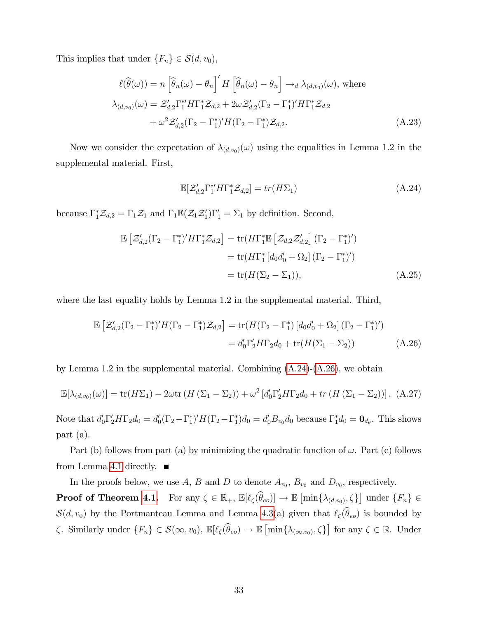This implies that under  $\{F_n\} \in \mathcal{S}(d, v_0)$ ,

$$
\ell(\widehat{\theta}(\omega)) = n \left[ \widehat{\theta}_n(\omega) - \theta_n \right]' H \left[ \widehat{\theta}_n(\omega) - \theta_n \right] \to_d \lambda_{(d,v_0)}(\omega), \text{ where}
$$

$$
\lambda_{(d,v_0)}(\omega) = \mathcal{Z}'_{d,2} \Gamma_1^* H \Gamma_1^* \mathcal{Z}_{d,2} + 2\omega \mathcal{Z}'_{d,2} (\Gamma_2 - \Gamma_1^*)' H \Gamma_1^* \mathcal{Z}_{d,2}
$$

$$
+ \omega^2 \mathcal{Z}'_{d,2} (\Gamma_2 - \Gamma_1^*)' H (\Gamma_2 - \Gamma_1^*) \mathcal{Z}_{d,2}.
$$
(A.23)

Now we consider the expectation of  $\lambda_{(d,v_0)}(\omega)$  using the equalities in Lemma 1.2 in the supplemental material. First,

<span id="page-33-1"></span><span id="page-33-0"></span>
$$
\mathbb{E}[\mathcal{Z}_{d,2}' \Gamma_1^{*'} H \Gamma_1^* \mathcal{Z}_{d,2}] = tr(H \Sigma_1)
$$
\n(A.24)

because  $\Gamma_1^* \mathcal{Z}_{d,2} = \Gamma_1 \mathcal{Z}_1$  and  $\Gamma_1 \mathbb{E}(\mathcal{Z}_1 \mathcal{Z}_1') \Gamma_1' = \Sigma_1$  by definition. Second,

$$
\mathbb{E}\left[\mathcal{Z}_{d,2}'(\Gamma_2 - \Gamma_1^*)' H \Gamma_1^* \mathcal{Z}_{d,2}\right] = \text{tr}(H\Gamma_1^* \mathbb{E}\left[\mathcal{Z}_{d,2}\mathcal{Z}_{d,2}'\right](\Gamma_2 - \Gamma_1^*)')
$$
  
\n
$$
= \text{tr}(H\Gamma_1^* \left[d_0 d_0' + \Omega_2\right](\Gamma_2 - \Gamma_1^*)')
$$
  
\n
$$
= \text{tr}(H(\Sigma_2 - \Sigma_1)), \tag{A.25}
$$

where the last equality holds by Lemma 1.2 in the supplemental material. Third,

$$
\mathbb{E}\left[\mathcal{Z}_{d,2}'(\Gamma_2-\Gamma_1^*)'H(\Gamma_2-\Gamma_1^*)\mathcal{Z}_{d,2}\right] = \text{tr}(H(\Gamma_2-\Gamma_1^*)\left[d_0d_0'+\Omega_2\right](\Gamma_2-\Gamma_1^*)')
$$

$$
= d_0'\Gamma_2'H\Gamma_2d_0 + \text{tr}(H(\Sigma_1-\Sigma_2))
$$
(A.26)

by Lemma 1.2 in the supplemental material. Combining [\(A.24\)](#page-33-0)-[\(A.26\)](#page-33-1), we obtain

$$
\mathbb{E}[\lambda_{(d,v_0)}(\omega)] = \text{tr}(H\Sigma_1) - 2\omega \text{tr}\left(H\left(\Sigma_1 - \Sigma_2\right)\right) + \omega^2 \left[d_0'\Gamma_2'H\Gamma_2d_0 + \text{tr}\left(H\left(\Sigma_1 - \Sigma_2\right)\right)\right].
$$
 (A.27)

Note that  $d'_0\Gamma'_2H\Gamma_2d_0 = d'_0(\Gamma_2-\Gamma_1^*)'H(\Gamma_2-\Gamma_1^*)d_0 = d'_0B_{v_0}d_0$  because  $\Gamma_1^*d_0 = \mathbf{0}_{d_\theta}$ . This shows part (a).

Part (b) follows from part (a) by minimizing the quadratic function of  $\omega$ . Part (c) follows from Lemma [4.1](#page-15-1) directly.  $\blacksquare$ 

In the proofs below, we use A, B and D to denote  $A_{v_0}$ ,  $B_{v_0}$  and  $D_{v_0}$ , respectively.

**Proof of Theorem [4.1.](#page-19-1)** For any  $\zeta \in \mathbb{R}_+$ ,  $\mathbb{E}[\ell_\zeta(\widehat{\theta}_{eo})] \to \mathbb{E}[\min\{\lambda_{(d,v_0)},\zeta\}]$  under  $\{F_n\} \in$  $S(d, v_0)$  by the Portmanteau Lemma and Lemma [4.3\(](#page-18-0)a) given that  $\ell_{\zeta}(\widehat{\theta}_{eo})$  is bounded by  $\zeta$ . Similarly under  $\{F_n\} \in \mathcal{S}(\infty, v_0)$ ,  $\mathbb{E}[\ell_\zeta(\widehat{\theta}_{eo}) \to \mathbb{E}[\min\{\lambda_{(\infty, v_0)}, \zeta\}]$  for any  $\zeta \in \mathbb{R}$ . Under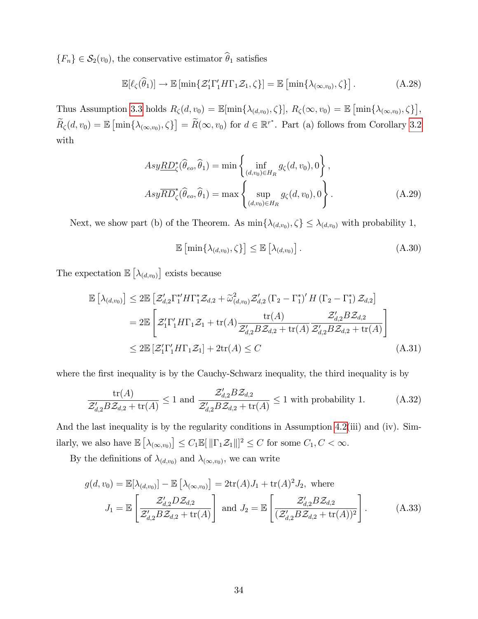${F_n} \in \mathcal{S}_2(v_0)$ , the conservative estimator  $\hat{\theta}_1$  satisfies

$$
\mathbb{E}[\ell_{\zeta}(\widehat{\theta}_{1})] \to \mathbb{E}\left[\min\{\mathcal{Z}_{1}^{\prime}\Gamma_{1}^{\prime}H\Gamma_{1}\mathcal{Z}_{1},\zeta\}\right] = \mathbb{E}\left[\min\{\lambda_{(\infty,v_{0})},\zeta\}\right].
$$
\n(A.28)

Thus Assumption [3.3](#page-12-1) holds  $R_{\zeta}(d, v_0) = \mathbb{E}[\min\{\lambda_{(d,v_0)}, \zeta\}], R_{\zeta}(\infty, v_0) = \mathbb{E}[\min\{\lambda_{(\infty, v_0)}, \zeta\}],$  $\widetilde{R}_{\zeta}(d, v_0) = \mathbb{E} \left[ \min \{ \lambda_{(\infty, v_0)}, \zeta \} \right] = \widetilde{R}(\infty, v_0) \text{ for } d \in \mathbb{R}^{r^*}.$  Part (a) follows from Corollary [3.2](#page-13-1) with

$$
Asy\underline{RD}_{\zeta}^*(\widehat{\theta}_{eo}, \widehat{\theta}_1) = \min\left\{\inf_{(d,v_0)\in H_R} g_{\zeta}(d, v_0), 0\right\},\newline Asy\overline{RD}_{\zeta}^*(\widehat{\theta}_{eo}, \widehat{\theta}_1) = \max\left\{\sup_{(d,v_0)\in H_R} g_{\zeta}(d, v_0), 0\right\}.
$$
\n(A.29)

Next, we show part (b) of the Theorem. As  $\min\{\lambda_{(d,v_0)}, \zeta\} \leq \lambda_{(d,v_0)}$  with probability 1,

<span id="page-34-0"></span>
$$
\mathbb{E}\left[\min\{\lambda_{(d,v_0)},\zeta\}\right] \leq \mathbb{E}\left[\lambda_{(d,v_0)}\right].\tag{A.30}
$$

The expectation  $\mathbb{E}\left[\lambda_{(d,v_0)}\right]$  exists because

$$
\mathbb{E}\left[\lambda_{(d,v_0)}\right] \leq 2\mathbb{E}\left[\mathcal{Z}_{d,2}'\Gamma_1^{*T}H\Gamma_1^{*}\mathcal{Z}_{d,2} + \widetilde{\omega}_{(d,v_0)}^2\mathcal{Z}_{d,2}'\left(\Gamma_2 - \Gamma_1^{*}\right)'H\left(\Gamma_2 - \Gamma_1^{*}\right)\mathcal{Z}_{d,2}\right]
$$
\n
$$
= 2\mathbb{E}\left[\mathcal{Z}_1'\Gamma_1'H\Gamma_1\mathcal{Z}_1 + \text{tr}(A)\frac{\text{tr}(A)}{\mathcal{Z}_{d,2}'B\mathcal{Z}_{d,2} + \text{tr}(A)}\frac{\mathcal{Z}_{d,2}'B\mathcal{Z}_{d,2}}{\mathcal{Z}_{d,2}'B\mathcal{Z}_{d,2} + \text{tr}(A)}\right]
$$
\n
$$
\leq 2\mathbb{E}\left[\mathcal{Z}_1'\Gamma_1'H\Gamma_1\mathcal{Z}_1\right] + 2\text{tr}(A) \leq C\tag{A.31}
$$

where the first inequality is by the Cauchy-Schwarz inequality, the third inequality is by

$$
\frac{\text{tr}(A)}{\mathcal{Z}_{d,2}'B\mathcal{Z}_{d,2} + \text{tr}(A)} \le 1 \text{ and } \frac{\mathcal{Z}_{d,2}'B\mathcal{Z}_{d,2}}{\mathcal{Z}_{d,2}'B\mathcal{Z}_{d,2} + \text{tr}(A)} \le 1 \text{ with probability 1.} \tag{A.32}
$$

And the last inequality is by the regularity conditions in Assumption [4.2\(](#page-14-1)iii) and (iv). Similarly, we also have  $\mathbb{E} \left[ \lambda_{(\infty,v_0)} \right] \leq C_1 \mathbb{E} [\| \Gamma_1 \mathcal{Z}_1 \|]^2 \leq C$  for some  $C_1, C < \infty$ .

By the definitions of  $\lambda_{(d,v_0)}$  and  $\lambda_{(\infty,v_0)}$ , we can write

$$
g(d, v_0) = \mathbb{E}[\lambda_{(d, v_0)}] - \mathbb{E}[\lambda_{(\infty, v_0)}] = 2 \text{tr}(A) J_1 + \text{tr}(A)^2 J_2, \text{ where}
$$

$$
J_1 = \mathbb{E}\left[\frac{\mathcal{Z}_{d,2}' D \mathcal{Z}_{d,2}}{\mathcal{Z}_{d,2} B \mathcal{Z}_{d,2} + \text{tr}(A)}\right] \text{ and } J_2 = \mathbb{E}\left[\frac{\mathcal{Z}_{d,2}' B \mathcal{Z}_{d,2}}{(\mathcal{Z}_{d,2}' B \mathcal{Z}_{d,2} + \text{tr}(A))^2}\right].
$$
(A.33)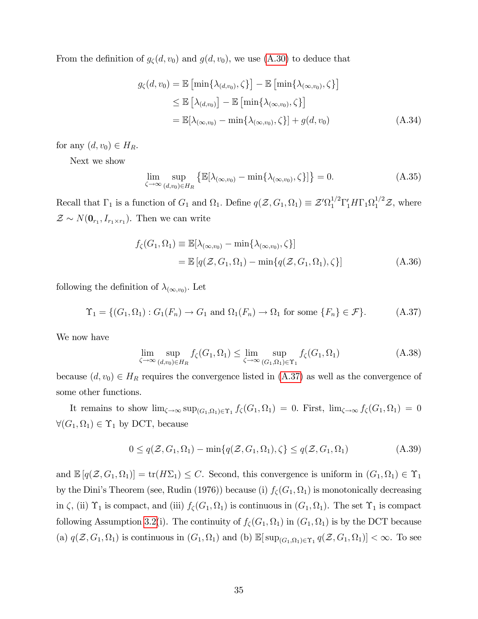From the definition of  $g_{\zeta}(d, v_0)$  and  $g(d, v_0)$ , we use [\(A.30\)](#page-34-0) to deduce that

$$
g_{\zeta}(d, v_0) = \mathbb{E} \left[ \min \{ \lambda_{(d, v_0)}, \zeta \} \right] - \mathbb{E} \left[ \min \{ \lambda_{(\infty, v_0)}, \zeta \} \right]
$$
  
\n
$$
\leq \mathbb{E} \left[ \lambda_{(d, v_0)} \right] - \mathbb{E} \left[ \min \{ \lambda_{(\infty, v_0)}, \zeta \} \right]
$$
  
\n
$$
= \mathbb{E} [\lambda_{(\infty, v_0)} - \min \{ \lambda_{(\infty, v_0)}, \zeta \} ] + g(d, v_0)
$$
 (A.34)

for any  $(d, v_0) \in H_R$ .

Next we show

<span id="page-35-1"></span>
$$
\lim_{\zeta \to \infty} \sup_{(d,v_0) \in H_R} \left\{ \mathbb{E} [\lambda_{(\infty,v_0)} - \min \{ \lambda_{(\infty,v_0)}, \zeta \} ] \right\} = 0. \tag{A.35}
$$

Recall that  $\Gamma_1$  is a function of  $G_1$  and  $\Omega_1$ . Define  $q(\mathcal{Z}, G_1, \Omega_1) \equiv \mathcal{Z}' \Omega_1^{1/2} \Gamma'_1 H \Gamma_1 \Omega_1^{1/2} \mathcal{Z}$ , where  $\mathcal{Z} \sim N(\mathbf{0}_{r_1}, I_{r_1 \times r_1})$ . Then we can write

$$
f_{\zeta}(G_1, \Omega_1) \equiv \mathbb{E}[\lambda_{(\infty, v_0)} - \min{\lambda_{(\infty, v_0)}, \zeta}]
$$
  
=  $\mathbb{E}[q(\mathcal{Z}, G_1, \Omega_1) - \min{\{q(\mathcal{Z}, G_1, \Omega_1), \zeta\}}]$  (A.36)

following the definition of  $\lambda_{(\infty,v_0)}$ . Let

<span id="page-35-0"></span>
$$
\Upsilon_1 = \{ (G_1, \Omega_1) : G_1(F_n) \to G_1 \text{ and } \Omega_1(F_n) \to \Omega_1 \text{ for some } \{F_n\} \in \mathcal{F} \}. \tag{A.37}
$$

We now have

$$
\lim_{\zeta \to \infty} \sup_{(d,v_0) \in H_R} f_{\zeta}(G_1, \Omega_1) \le \lim_{\zeta \to \infty} \sup_{(G_1, \Omega_1) \in \Upsilon_1} f_{\zeta}(G_1, \Omega_1)
$$
\n(A.38)

because  $(d, v_0) \in H_R$  requires the convergence listed in  $(A.37)$  as well as the convergence of some other functions.

It remains to show  $\lim_{\zeta \to \infty} \sup_{(G_1,\Omega_1) \in \Upsilon_1} f_{\zeta}(G_1,\Omega_1) = 0$ . First,  $\lim_{\zeta \to \infty} f_{\zeta}(G_1,\Omega_1) = 0$  $\forall (G_1, \Omega_1) \in \Upsilon_1$  by DCT, because

$$
0 \le q(\mathcal{Z}, G_1, \Omega_1) - \min\{q(\mathcal{Z}, G_1, \Omega_1), \zeta\} \le q(\mathcal{Z}, G_1, \Omega_1)
$$
\n(A.39)

and  $\mathbb{E}[q(\mathcal{Z}, G_1, \Omega_1)] = \text{tr}(H\Sigma_1) \leq C$ . Second, this convergence is uniform in  $(G_1, \Omega_1) \in \Upsilon_1$ by the Dini's Theorem (see, Rudin (1976)) because (i)  $f_{\zeta}(G_1, \Omega_1)$  is monotonically decreasing in  $\zeta$ , (ii)  $\Upsilon_1$  is compact, and (iii)  $f_{\zeta}(G_1,\Omega_1)$  is continuous in  $(G_1,\Omega_1)$ . The set  $\Upsilon_1$  is compact following Assumption [3.2\(](#page-10-1)i). The continuity of  $f_{\zeta}(G_1, \Omega_1)$  in  $(G_1, \Omega_1)$  is by the DCT because (a)  $q(\mathcal{Z}, G_1, \Omega_1)$  is continuous in  $(G_1, \Omega_1)$  and (b)  $\mathbb{E}[\sup_{(G_1, \Omega_1) \in \Upsilon_1} q(\mathcal{Z}, G_1, \Omega_1)] < \infty$ . To see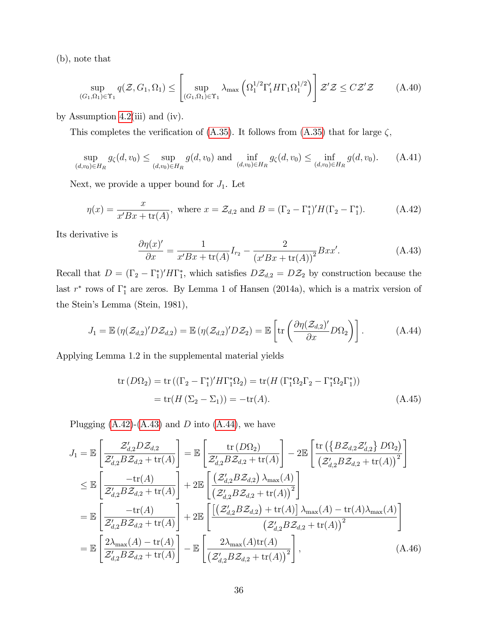(b), note that

$$
\sup_{(G_1,\Omega_1)\in\Upsilon_1} q(\mathcal{Z},G_1,\Omega_1) \le \left[ \sup_{(G_1,\Omega_1)\in\Upsilon_1} \lambda_{\max} \left( \Omega_1^{1/2} \Gamma_1' H \Gamma_1 \Omega_1^{1/2} \right) \right] \mathcal{Z}' \mathcal{Z} \le C\mathcal{Z}' \mathcal{Z} \tag{A.40}
$$

by Assumption [4.2\(](#page-14-1)iii) and (iv).

This completes the verification of [\(A.35\)](#page-35-1). It follows from (A.35) that for large  $\zeta$ ,

$$
\sup_{(d,v_0)\in H_R} g_{\zeta}(d,v_0) \le \sup_{(d,v_0)\in H_R} g(d,v_0) \text{ and } \inf_{(d,v_0)\in H_R} g_{\zeta}(d,v_0) \le \inf_{(d,v_0)\in H_R} g(d,v_0). \tag{A.41}
$$

Next, we provide a upper bound for  $J_1$ . Let

<span id="page-36-0"></span>
$$
\eta(x) = \frac{x}{x'Bx + \operatorname{tr}(A)}, \text{ where } x = \mathcal{Z}_{d,2} \text{ and } B = (\Gamma_2 - \Gamma_1^*)'H(\Gamma_2 - \Gamma_1^*). \tag{A.42}
$$

Its derivative is

<span id="page-36-1"></span>
$$
\frac{\partial \eta(x)'}{\partial x} = \frac{1}{x' B x + \text{tr}(A)} I_{r_2} - \frac{2}{(x' B x + \text{tr}(A))^2} B x x'. \tag{A.43}
$$

Recall that  $D = (\Gamma_2 - \Gamma_1^*)' H \Gamma_1^*$ , which satisfies  $DZ_{d,2} = DZ_2$  by construction because the last  $r^*$  rows of  $\Gamma_1^*$  are zeros. By Lemma 1 of Hansen (2014a), which is a matrix version of the Stein's Lemma (Stein, 1981),

<span id="page-36-2"></span>
$$
J_1 = \mathbb{E} \left( \eta(\mathcal{Z}_{d,2})' D \mathcal{Z}_{d,2} \right) = \mathbb{E} \left( \eta(\mathcal{Z}_{d,2})' D \mathcal{Z}_2 \right) = \mathbb{E} \left[ \text{tr} \left( \frac{\partial \eta(\mathcal{Z}_{d,2})'}{\partial x} D \Omega_2 \right) \right]. \tag{A.44}
$$

Applying Lemma 1.2 in the supplemental material yields

<span id="page-36-4"></span><span id="page-36-3"></span>
$$
\operatorname{tr}(D\Omega_2) = \operatorname{tr}((\Gamma_2 - \Gamma_1^*)' H \Gamma_1^* \Omega_2) = \operatorname{tr}(H (\Gamma_1^* \Omega_2 \Gamma_2 - \Gamma_1^* \Omega_2 \Gamma_1^*))
$$
  
= 
$$
\operatorname{tr}(H (\Sigma_2 - \Sigma_1)) = -\operatorname{tr}(A).
$$
 (A.45)

Plugging  $(A.42)$ - $(A.43)$  and D into  $(A.44)$ , we have

$$
J_{1} = \mathbb{E}\left[\frac{\mathcal{Z}_{d,2}'D\mathcal{Z}_{d,2}}{\mathcal{Z}_{d,2}B\mathcal{Z}_{d,2} + \text{tr}(A)}\right] = \mathbb{E}\left[\frac{\text{tr}\left(D\Omega_{2}\right)}{\mathcal{Z}_{d,2}'B\mathcal{Z}_{d,2} + \text{tr}(A)}\right] - 2\mathbb{E}\left[\frac{\text{tr}\left(\left\{B\mathcal{Z}_{d,2}\mathcal{Z}_{d,2}'\right\}D\Omega_{2}\right)}{\left(\mathcal{Z}_{d,2}'B\mathcal{Z}_{d,2} + \text{tr}(A)\right)^{2}}\right]
$$
  
\n
$$
\leq \mathbb{E}\left[\frac{-\text{tr}(A)}{\mathcal{Z}_{d,2}'B\mathcal{Z}_{d,2} + \text{tr}(A)}\right] + 2\mathbb{E}\left[\frac{\left(\mathcal{Z}_{d,2}'B\mathcal{Z}_{d,2}\right)\lambda_{\max}(A)}{\left(\mathcal{Z}_{d,2}'B\mathcal{Z}_{d,2} + \text{tr}(A)\right)^{2}}\right]
$$
  
\n
$$
= \mathbb{E}\left[\frac{-\text{tr}(A)}{\mathcal{Z}_{d,2}'B\mathcal{Z}_{d,2} + \text{tr}(A)}\right] + 2\mathbb{E}\left[\frac{\left[\left(\mathcal{Z}_{d,2}'B\mathcal{Z}_{d,2}\right) + \text{tr}(A)\right]\lambda_{\max}(A) - \text{tr}(A)\lambda_{\max}(A)}{\left(\mathcal{Z}_{d,2}'B\mathcal{Z}_{d,2} + \text{tr}(A)\right)^{2}}\right]
$$
  
\n
$$
= \mathbb{E}\left[\frac{2\lambda_{\max}(A) - \text{tr}(A)}{\mathcal{Z}_{d,2}'B\mathcal{Z}_{d,2} + \text{tr}(A)}\right] - \mathbb{E}\left[\frac{2\lambda_{\max}(A)\text{tr}(A)}{\left(\mathcal{Z}_{d,2}'B\mathcal{Z}_{d,2} + \text{tr}(A)\right)^{2}}\right],\tag{A.46}
$$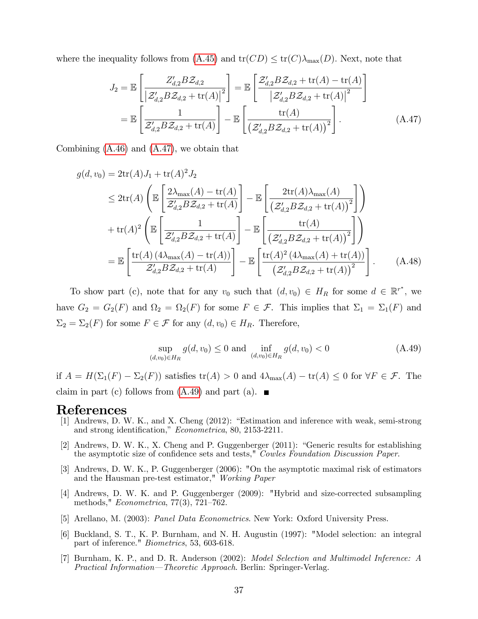where the inequality follows from  $(A.45)$  and  $tr(CD) \leq tr(C)\lambda_{max}(D)$ . Next, note that

<span id="page-37-0"></span>
$$
J_2 = \mathbb{E}\left[\frac{Z'_{d,2}BZ_{d,2}}{\left|Z'_{d,2}BZ_{d,2} + \text{tr}(A)\right|^2}\right] = \mathbb{E}\left[\frac{Z'_{d,2}BZ_{d,2} + \text{tr}(A) - \text{tr}(A)}{\left|Z'_{d,2}BZ_{d,2} + \text{tr}(A)\right|^2}\right]
$$

$$
= \mathbb{E}\left[\frac{1}{Z'_{d,2}BZ_{d,2} + \text{tr}(A)}\right] - \mathbb{E}\left[\frac{\text{tr}(A)}{\left(Z'_{d,2}BZ_{d,2} + \text{tr}(A)\right)^2}\right].
$$
(A.47)

Combining [\(A.46\)](#page-36-4) and [\(A.47\)](#page-37-0), we obtain that

$$
g(d, v_0) = 2\text{tr}(A)J_1 + \text{tr}(A)^2 J_2
$$
  
\n
$$
\leq 2\text{tr}(A) \left( \mathbb{E} \left[ \frac{2\lambda_{\max}(A) - \text{tr}(A)}{\mathcal{Z}_{d,2}'B\mathcal{Z}_{d,2} + \text{tr}(A)} \right] - \mathbb{E} \left[ \frac{2\text{tr}(A)\lambda_{\max}(A)}{\left(\mathcal{Z}_{d,2}'B\mathcal{Z}_{d,2} + \text{tr}(A)\right)^2} \right] \right)
$$
  
\n
$$
+ \text{tr}(A)^2 \left( \mathbb{E} \left[ \frac{1}{\mathcal{Z}_{d,2}'B\mathcal{Z}_{d,2} + \text{tr}(A)} \right] - \mathbb{E} \left[ \frac{\text{tr}(A)}{\left(\mathcal{Z}_{d,2}'B\mathcal{Z}_{d,2} + \text{tr}(A)\right)^2} \right] \right)
$$
  
\n
$$
= \mathbb{E} \left[ \frac{\text{tr}(A) \left( 4\lambda_{\max}(A) - \text{tr}(A) \right)}{\mathcal{Z}_{d,2}'B\mathcal{Z}_{d,2} + \text{tr}(A)} \right] - \mathbb{E} \left[ \frac{\text{tr}(A)^2 \left( 4\lambda_{\max}(A) + \text{tr}(A) \right)}{\left(\mathcal{Z}_{d,2}'B\mathcal{Z}_{d,2} + \text{tr}(A)\right)^2} \right].
$$
 (A.48)

To show part (c), note that for any  $v_0$  such that  $(d, v_0) \in H_R$  for some  $d \in \mathbb{R}^{r^*}$ , we have  $G_2 = G_2(F)$  and  $\Omega_2 = \Omega_2(F)$  for some  $F \in \mathcal{F}$ . This implies that  $\Sigma_1 = \Sigma_1(F)$  and  $\Sigma_2 = \Sigma_2(F)$  for some  $F \in \mathcal{F}$  for any  $(d, v_0) \in H_R$ . Therefore,

<span id="page-37-1"></span>
$$
\sup_{(d,v_0)\in H_R} g(d,v_0) \le 0 \text{ and } \inf_{(d,v_0)\in H_R} g(d,v_0) < 0 \tag{A.49}
$$

if  $A = H(\Sigma_1(F) - \Sigma_2(F))$  satisfies  $tr(A) > 0$  and  $4\lambda_{\max}(A) - tr(A) \leq 0$  for  $\forall F \in \mathcal{F}$ . The claim in part (c) follows from  $(A.49)$  and part (a).

### **References**

- [1] Andrews, D. W. K., and X. Cheng (2012): "Estimation and inference with weak, semi-strong and strong identification," Econometrica, 80, 2153-2211.
- [2] Andrews, D. W. K., X. Cheng and P. Guggenberger (2011): "Generic results for establishing the asymptotic size of confidence sets and tests," Cowles Foundation Discussion Paper.
- [3] Andrews, D. W. K., P. Guggenberger (2006): "On the asymptotic maximal risk of estimators and the Hausman pre-test estimator," Working Paper
- [4] Andrews, D. W. K. and P. Guggenberger (2009): "Hybrid and size-corrected subsampling methods,"  $Econometrica$ , 77(3), 721-762.
- [5] Arellano, M. (2003): Panel Data Econometrics. New York: Oxford University Press.
- [6] Buckland, S. T., K. P. Burnham, and N. H. Augustin (1997): "Model selection: an integral part of inference." Biometrics, 53, 603-618.
- [7] Burnham, K. P., and D. R. Anderson (2002): Model Selection and Multimodel Inference: A Practical Information—Theoretic Approach. Berlin: Springer-Verlag.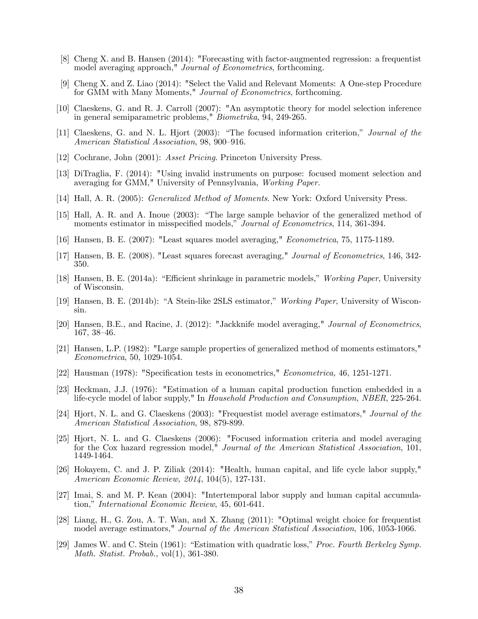- [8] Cheng X. and B. Hansen (2014): "Forecasting with factor-augmented regression: a frequentist model averaging approach," Journal of Econometrics, forthcoming.
- [9] Cheng X. and Z. Liao (2014): "Select the Valid and Relevant Moments: A One-step Procedure for GMM with Many Moments," Journal of Econometrics, forthcoming.
- [10] Claeskens, G. and R. J. Carroll (2007): "An asymptotic theory for model selection inference in general semiparametric problems," Biometrika, 94, 249-265.
- [11] Claeskens, G. and N. L. Hjort (2003): "The focused information criterion," Journal of the American Statistical Association, 98, 900-916.
- [12] Cochrane, John (2001): Asset Pricing. Princeton University Press.
- [13] DiTraglia, F. (2014): "Using invalid instruments on purpose: focused moment selection and averaging for GMM," University of Pennsylvania, Working Paper.
- [14] Hall, A. R. (2005): Generalized Method of Moments. New York: Oxford University Press.
- [15] Hall, A. R. and A. Inoue (2003): "The large sample behavior of the generalized method of moments estimator in misspecified models," Journal of Econometrics, 114, 361-394.
- [16] Hansen, B. E. (2007): "Least squares model averaging," Econometrica, 75, 1175-1189.
- [17] Hansen, B. E. (2008). "Least squares forecast averaging," Journal of Econometrics, 146, 342- 350.
- [18] Hansen, B. E. (2014a): "Efficient shrinkage in parametric models," Working Paper, University of Wisconsin.
- [19] Hansen, B. E. (2014b): "A Stein-like 2SLS estimator," Working Paper, University of Wisconsin.
- [20] Hansen, B.E., and Racine, J. (2012): "Jackknife model averaging," Journal of Econometrics,  $167, 38-46.$
- [21] Hansen, L.P. (1982): "Large sample properties of generalized method of moments estimators," Econometrica, 50, 1029-1054.
- [22] Hausman (1978): "Specification tests in econometrics," *Econometrica*, 46, 1251-1271.
- [23] Heckman, J.J. (1976): "Estimation of a human capital production function embedded in a life-cycle model of labor supply," In Household Production and Consumption, NBER, 225-264.
- [24] Hjort, N. L. and G. Claeskens (2003): "Frequestist model average estimators," Journal of the American Statistical Association, 98, 879-899.
- [25] Hjort, N. L. and G. Claeskens (2006): "Focused information criteria and model averaging for the Cox hazard regression model," Journal of the American Statistical Association, 101, 1449-1464.
- [26] Hokayem, C. and J. P. Ziliak (2014): "Health, human capital, and life cycle labor supply," American Economic Review, 2014, 104(5), 127-131.
- [27] Imai, S. and M. P. Kean (2004): "Intertemporal labor supply and human capital accumulation," International Economic Review, 45, 601-641.
- [28] Liang, H., G. Zou, A. T. Wan, and X. Zhang (2011): "Optimal weight choice for frequentist model average estimators," Journal of the American Statistical Association, 106, 1053-1066.
- [29] James W. and C. Stein (1961): "Estimation with quadratic loss," Proc. Fourth Berkeley Symp. Math. Statist. Probab., vol(1), 361-380.